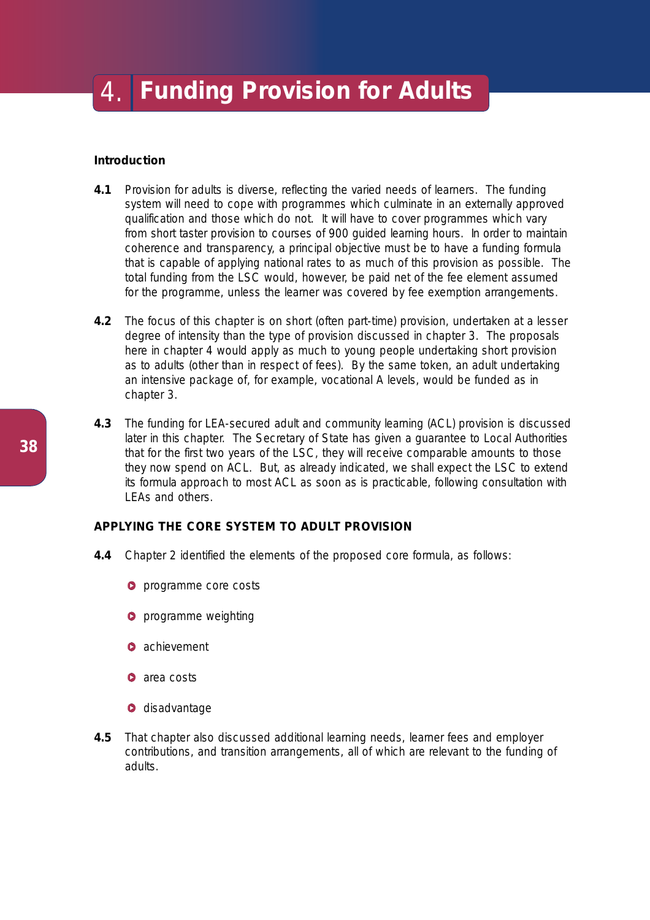# **Introduction**

- **4.1** Provision for adults is diverse, reflecting the varied needs of learners. The funding system will need to cope with programmes which culminate in an externally approved qualification and those which do not. It will have to cover programmes which vary from short taster provision to courses of 900 guided learning hours. In order to maintain coherence and transparency, a principal objective must be to have a funding formula that is capable of applying national rates to as much of this provision as possible. The total funding from the LSC would, however, be paid net of the fee element assumed for the programme, unless the learner was covered by fee exemption arrangements.
- **4.2** The focus of this chapter is on short (often part-time) provision, undertaken at a lesser degree of intensity than the type of provision discussed in chapter 3. The proposals here in chapter 4 would apply as much to young people undertaking short provision as to adults (other than in respect of fees). By the same token, an adult undertaking an intensive package of, for example, vocational A levels, would be funded as in chapter 3.
- **4.3** The funding for LEA-secured adult and community learning (ACL) provision is discussed later in this chapter. The Secretary of State has given a guarantee to Local Authorities that for the first two years of the LSC, they will receive comparable amounts to those they now spend on ACL. But, as already indicated, we shall expect the LSC to extend its formula approach to most ACL as soon as is practicable, following consultation with LEAs and others.

# **APPLYING THE CORE SYSTEM TO ADULT PROVISION**

- **4.4** Chapter 2 identified the elements of the proposed core formula, as follows:
	- **O** programme core costs
	- **P** programme weighting
	- **O** achievement
	- **a** area costs
	- **O** disadvantage
- **4.5** That chapter also discussed additional learning needs, learner fees and employer contributions, and transition arrangements, all of which are relevant to the funding of adults.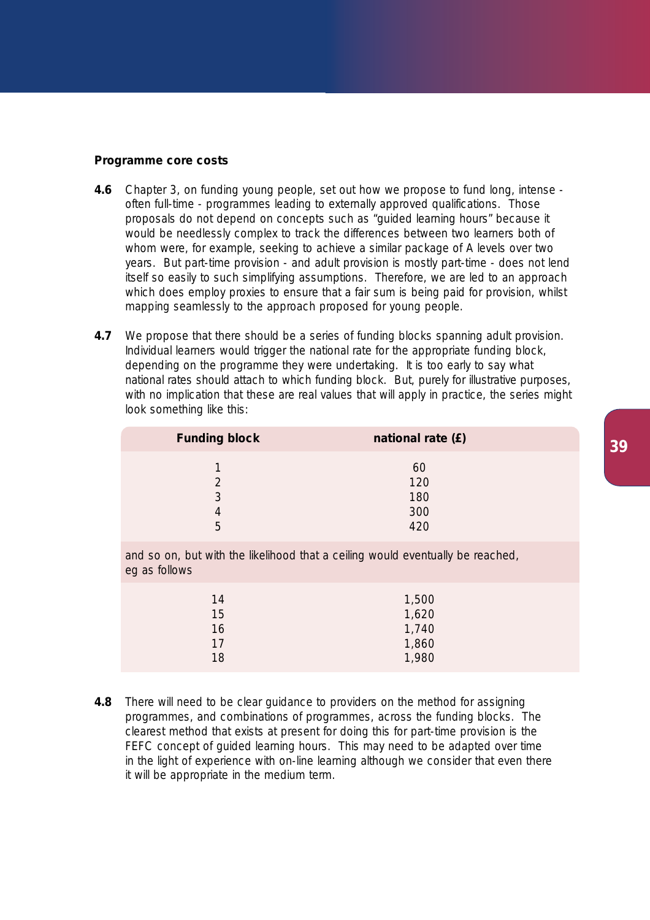## **Programme core costs**

- **4.6** Chapter 3, on funding young people, set out how we propose to fund long, intense often full-time - programmes leading to externally approved qualifications. Those proposals do not depend on concepts such as "guided learning hours" because it would be needlessly complex to track the differences between two learners both of whom were, for example, seeking to achieve a similar package of A levels over two years. But part-time provision - and adult provision is mostly part-time - does not lend itself so easily to such simplifying assumptions. Therefore, we are led to an approach which does employ proxies to ensure that a fair sum is being paid for provision, whilst mapping seamlessly to the approach proposed for young people.
- **4.7** We propose that there should be a series of funding blocks spanning adult provision. Individual learners would trigger the national rate for the appropriate funding block, depending on the programme they were undertaking. It is too early to say what national rates should attach to which funding block. But, *purely for illustrative purposes,* with no implication that these are real values that will apply in practice, the series might look something like this:

| <b>Funding block</b> | national rate (£)              |  |
|----------------------|--------------------------------|--|
| S<br>5               | 60<br>120<br>180<br>300<br>420 |  |

and so on, but with the likelihood that a ceiling would eventually be reached, eg as follows

| 14 | 1,500 |
|----|-------|
| 15 | 1,620 |
| 16 | 1,740 |
| 17 | 1,860 |
| 18 | 1,980 |
|    |       |

**4.8** There will need to be clear guidance to providers on the method for assigning programmes, and combinations of programmes, across the funding blocks. The clearest method that exists at present for doing this for part-time provision is the FEFC concept of guided learning hours. This may need to be adapted over time in the light of experience with on-line learning although we consider that even there it will be appropriate in the medium term.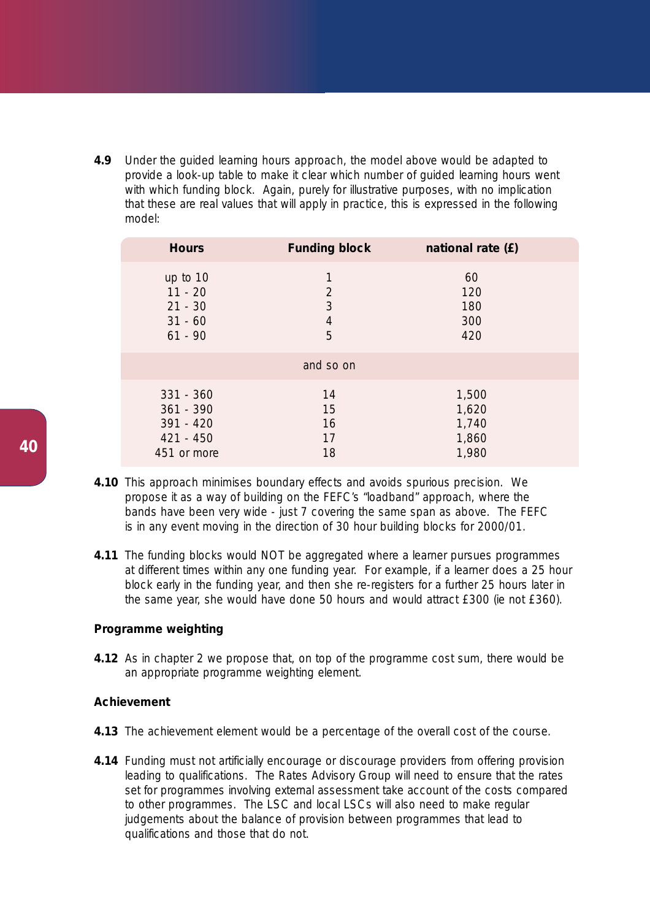**4.9** Under the guided learning hours approach, the model above would be adapted to provide a look-up table to make it clear which number of guided learning hours went with which funding block. Again, *purely for illustrative purposes*, with no implication that these are real values that will apply in practice, this is expressed in the following model:

| <b>Hours</b> | <b>Funding block</b> | national rate (£) |
|--------------|----------------------|-------------------|
| up to 10     | 1                    | 60                |
| $11 - 20$    | $\overline{2}$       | 120               |
| $21 - 30$    | 3                    | 180               |
| $31 - 60$    | $\overline{4}$       | 300               |
| $61 - 90$    | 5                    | 420               |
|              | and so on            |                   |
| $331 - 360$  | 14                   | 1,500             |
| $361 - 390$  | 15                   | 1,620             |
| 391 - 420    | 16                   | 1,740             |
| 421 - 450    | 17                   | 1,860             |
| 451 or more  | 18                   | 1,980             |

- **4.10** This approach minimises boundary effects and avoids spurious precision. We propose it as a way of building on the FEFC's "loadband" approach, where the bands have been very wide - just 7 covering the same span as above. The FEFC is in any event moving in the direction of 30 hour building blocks for 2000/01.
- **4.11** The funding blocks would NOT be aggregated where a learner pursues programmes at different times within any one funding year. For example, if a learner does a 25 hour block early in the funding year, and then she re-registers for a further 25 hours later in the same year, she would have done 50 hours and would attract £300 (ie not £360).

# **Programme weighting**

**4.12** As in chapter 2 we propose that, on top of the programme cost sum, there would be an appropriate programme weighting element.

# **Achievement**

- **4.13** The achievement element would be a percentage of the overall cost of the course.
- **4.14** Funding must not artificially encourage or discourage providers from offering provision leading to qualifications. The Rates Advisory Group will need to ensure that the rates set for programmes involving external assessment take account of the costs compared to other programmes. The LSC and local LSCs will also need to make regular judgements about the balance of provision between programmes that lead to qualifications and those that do not.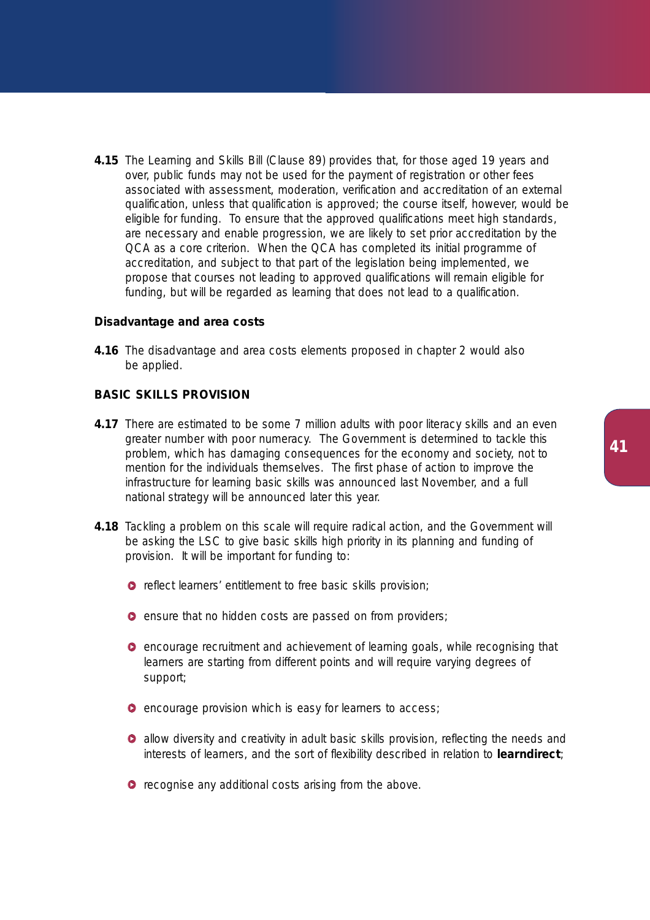**4.15** The Learning and Skills Bill (Clause 89) provides that, for those aged 19 years and over, public funds may not be used for the payment of registration or other fees associated with assessment, moderation, verification and accreditation of an external qualification, unless that qualification is approved; the course itself, however, would be eligible for funding. To ensure that the approved qualifications meet high standards, are necessary and enable progression, we are likely to set prior accreditation by the QCA as a core criterion. When the QCA has completed its initial programme of accreditation, and subject to that part of the legislation being implemented, we propose that courses not leading to approved qualifications will remain eligible for funding, but will be regarded as learning that does not lead to a qualification.

# **Disadvantage and area costs**

**4.16** The disadvantage and area costs elements proposed in chapter 2 would also be applied.

# **BASIC SKILLS PROVISION**

- **4.17** There are estimated to be some 7 million adults with poor literacy skills and an even greater number with poor numeracy. The Government is determined to tackle this problem, which has damaging consequences for the economy and society, not to mention for the individuals themselves. The first phase of action to improve the infrastructure for learning basic skills was announced last November, and a full national strategy will be announced later this year.
- **4.18** Tackling a problem on this scale will require radical action, and the Government will be asking the LSC to give basic skills high priority in its planning and funding of provision. It will be important for funding to:
	- **O** reflect learners' entitlement to free basic skills provision;
	- **e** ensure that no hidden costs are passed on from providers;
	- **O** encourage recruitment and achievement of learning goals, while recognising that learners are starting from different points and will require varying degrees of support;
	- **O** encourage provision which is easy for learners to access;
	- **•** allow diversity and creativity in adult basic skills provision, reflecting the needs and interests of learners, and the sort of flexibility described in relation to **learndirect**;
	- **O** recognise any additional costs arising from the above.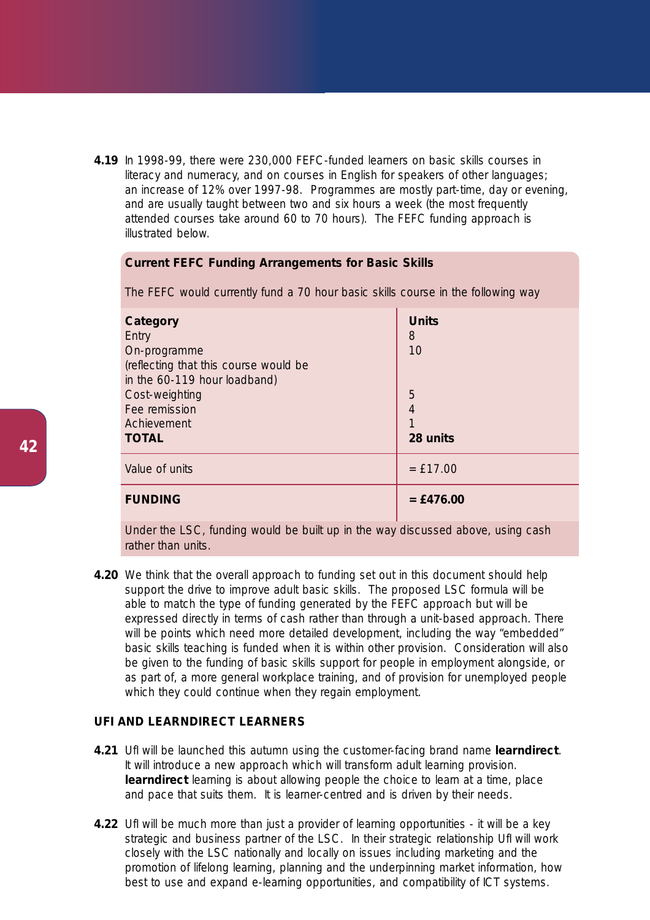**4.19** In 1998-99, there were 230,000 FEFC-funded learners on basic skills courses in literacy and numeracy, and on courses in English for speakers of other languages; an increase of 12% over 1997-98. Programmes are mostly part-time, day or evening, and are usually taught between two and six hours a week (the most frequently attended courses take around 60 to 70 hours). The FEFC funding approach is illustrated below.

## **Current FEFC Funding Arrangements for Basic Skills**

| Category<br>Entry<br>On-programme<br>(reflecting that this course would be<br>in the 60-119 hour loadband)<br>Cost-weighting<br>Fee remission<br>Achievement<br><b>TOTAL</b> | <b>Units</b><br>8<br>10<br>5<br>4<br>28 units |
|------------------------------------------------------------------------------------------------------------------------------------------------------------------------------|-----------------------------------------------|
| Value of units                                                                                                                                                               | $=$ £17.00                                    |
| <b>FUNDING</b>                                                                                                                                                               | $=$ £476.00                                   |

The FEFC would currently fund a 70 hour basic skills course in the following way

Under the LSC, funding would be built up in the way discussed above, using cash rather than units.

**4.20** We think that the overall approach to funding set out in this document should help support the drive to improve adult basic skills. The proposed LSC formula will be able to match the type of funding generated by the FEFC approach but will be expressed directly in terms of cash rather than through a unit-based approach. There will be points which need more detailed development, including the way "embedded" basic skills teaching is funded when it is within other provision. Consideration will also be given to the funding of basic skills support for people in employment alongside, or as part of, a more general workplace training, and of provision for unemployed people which they could continue when they regain employment.

# **UFI AND LEARNDIRECT LEARNERS**

- **4.21** UfI will be launched this autumn using the customer-facing brand name **learndirect**. It will introduce a new approach which will transform adult learning provision. **learndirect** learning is about allowing people the choice to learn at a time, place and pace that suits them. It is learner-centred and is driven by their needs.
- **4.22** Ufl will be much more than just a provider of learning opportunities it will be a key strategic and business partner of the LSC. In their strategic relationship UfI will work closely with the LSC nationally and locally on issues including marketing and the promotion of lifelong learning, planning and the underpinning market information, how best to use and expand e-learning opportunities, and compatibility of ICT systems.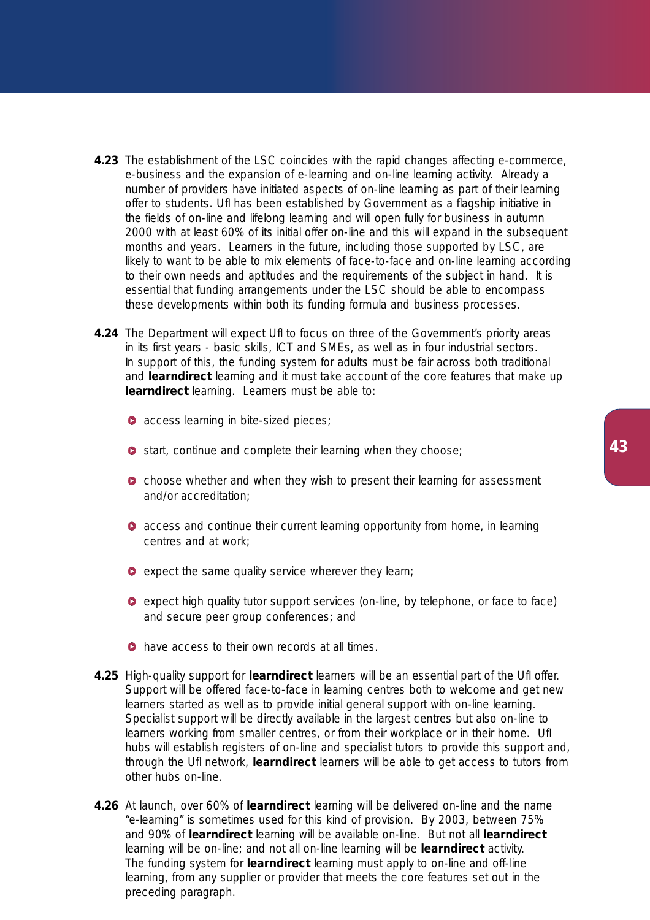- **4.23** The establishment of the LSC coincides with the rapid changes affecting e-commerce, e-business and the expansion of e-learning and on-line learning activity. Already a number of providers have initiated aspects of on-line learning as part of their learning offer to students. UfI has been established by Government as a flagship initiative in the fields of on-line and lifelong learning and will open fully for business in autumn 2000 with at least 60% of its initial offer on-line and this will expand in the subsequent months and years. Learners in the future, including those supported by LSC, are likely to want to be able to mix elements of face-to-face and on-line learning according to their own needs and aptitudes and the requirements of the subject in hand. It is essential that funding arrangements under the LSC should be able to encompass these developments within both its funding formula and business processes.
- **4.24** The Department will expect Ufl to focus on three of the Government's priority areas in its first years - basic skills, ICT and SMEs, as well as in four industrial sectors. In support of this, the funding system for adults must be fair across both traditional and **learndirect** learning and it must take account of the core features that make up **learndirect** learning. Learners must be able to:
	- **access learning in bite-sized pieces;**
	- **O** start, continue and complete their learning when they choose;
	- **O** choose whether and when they wish to present their learning for assessment and/or accreditation;
	- **access and continue their current learning opportunity from home, in learning** centres and at work;
	- $\bullet$  expect the same quality service wherever they learn;
	- expect high quality tutor support services (on-line, by telephone, or face to face) and secure peer group conferences; and
	- **O** have access to their own records at all times.
- **4.25** High-quality support for **learndirect** learners will be an essential part of the UfI offer. Support will be offered face-to-face in learning centres both to welcome and get new learners started as well as to provide initial general support with on-line learning. Specialist support will be directly available in the largest centres but also on-line to learners working from smaller centres, or from their workplace or in their home. UfI hubs will establish registers of on-line and specialist tutors to provide this support and, through the UfI network, **learndirect** learners will be able to get access to tutors from other hubs on-line.
- **4.26** At launch, over 60% of **learndirect** learning will be delivered on-line and the name "e-learning" is sometimes used for this kind of provision. By 2003, between 75% and 90% of **learndirect** learning will be available on-line. But not all **learndirect** learning will be on-line; and not all on-line learning will be **learndirect** activity. The funding system for **learndirect** learning must apply to on-line and off-line learning, from any supplier or provider that meets the core features set out in the preceding paragraph.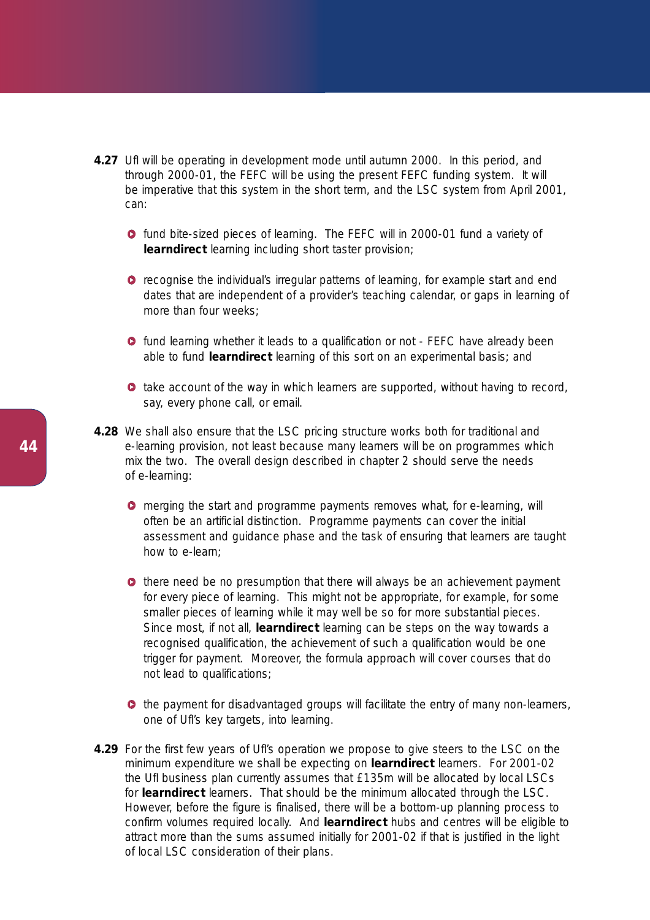- **4.27** Ufl will be operating in development mode until autumn 2000. In this period, and through 2000-01, the FEFC will be using the present FEFC funding system. It will be imperative that this system in the short term, and the LSC system from April 2001, can:
	- **o** fund bite-sized pieces of learning. The FEFC will in 2000-01 fund a variety of **learndirect** learning including short taster provision;
	- **O** recognise the individual's irregular patterns of learning, for example start and end dates that are independent of a provider's teaching calendar, or gaps in learning of more than four weeks:
	- **o** fund learning whether it leads to a qualification or not FEFC have already been able to fund **learndirect** learning of this sort on an experimental basis; and
	- **take account of the way in which learners are supported, without having to record,** say, every phone call, or email.
- **4.28** We shall also ensure that the LSC pricing structure works both for traditional and e-learning provision, not least because many learners will be on programmes which mix the two. The overall design described in chapter 2 should serve the needs of e-learning:
	- **O** merging the start and programme payments removes what, for e-learning, will often be an artificial distinction. Programme payments can cover the initial assessment and guidance phase and the task of ensuring that learners are taught how to e-learn;
	- $\bullet$  there need be no presumption that there will always be an achievement payment for every piece of learning. This might not be appropriate, for example, for some smaller pieces of learning while it may well be so for more substantial pieces. Since most, if not all, **learndirect** learning can be steps on the way towards a recognised qualification, the achievement of such a qualification would be one trigger for payment. Moreover, the formula approach will cover courses that do not lead to qualifications;
	- $\bullet$  the payment for disadvantaged groups will facilitate the entry of many non-learners, one of UfI's key targets, into learning.
- **4.29** For the first few years of Ufl's operation we propose to give steers to the LSC on the minimum expenditure we shall be expecting on **learndirect** learners. For 2001-02 the UfI business plan currently assumes that £135m will be allocated by local LSCs for **learndirect** learners. That should be the minimum allocated through the LSC. However, before the figure is finalised, there will be a bottom-up planning process to confirm volumes required locally. And **learndirect** hubs and centres will be eligible to attract more than the sums assumed initially for 2001-02 if that is justified in the light of local LSC consideration of their plans.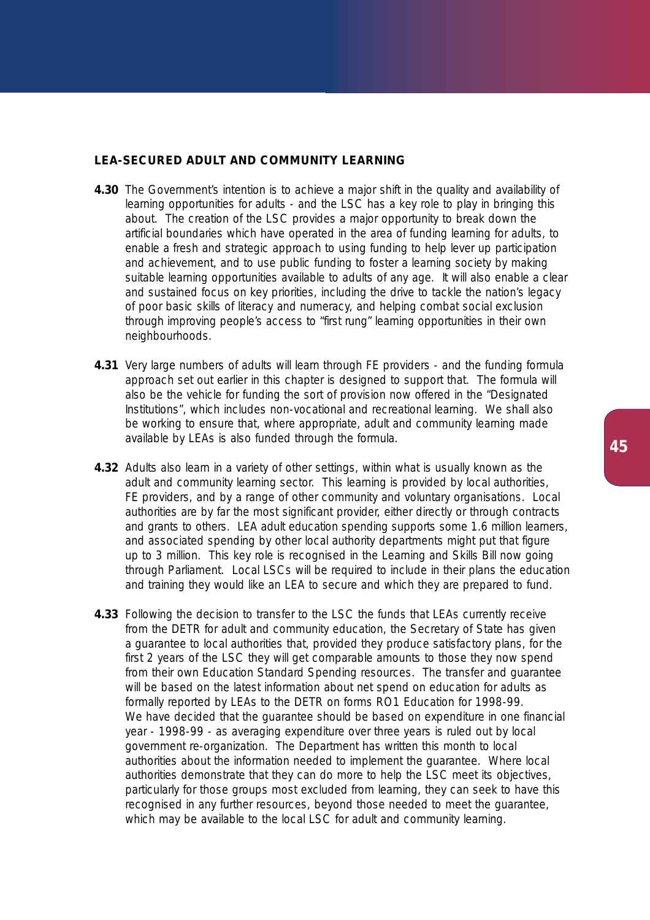## **LEA-SECURED ADULT AND COMMUNITY LEARNING**

- **4.30** The Government's intention is to achieve a major shift in the quality and availability of learning opportunities for adults - and the LSC has a key role to play in bringing this about. The creation of the LSC provides a major opportunity to break down the artificial boundaries which have operated in the area of funding learning for adults, to enable a fresh and strategic approach to using funding to help lever up participation and achievement, and to use public funding to foster a learning society by making suitable learning opportunities available to adults of any age. It will also enable a clear and sustained focus on key priorities, including the drive to tackle the nation's legacy of poor basic skills of literacy and numeracy, and helping combat social exclusion through improving people's access to "first rung" learning opportunities in their own neighbourhoods.
- **4.31** Very large numbers of adults will learn through FE providers and the funding formula approach set out earlier in this chapter is designed to support that. The formula will also be the vehicle for funding the sort of provision now offered in the "Designated Institutions", which includes non-vocational and recreational learning. We shall also be working to ensure that, where appropriate, adult and community learning made available by LEAs is also funded through the formula.
- **4.32** Adults also learn in a variety of other settings, within what is usually known as the adult and community learning sector. This learning is provided by local authorities, FE providers, and by a range of other community and voluntary organisations. Local authorities are by far the most significant provider, either directly or through contracts and grants to others. LEA adult education spending supports some 1.6 million learners, and associated spending by other local authority departments might put that figure up to 3 million. This key role is recognised in the Learning and Skills Bill now going through Parliament. Local LSCs will be required to include in their plans the education and training they would like an LEA to secure and which they are prepared to fund.
- **4.33** Following the decision to transfer to the LSC the funds that LEAs currently receive from the DETR for adult and community education, the Secretary of State has given a guarantee to local authorities that, provided they produce satisfactory plans, for the first 2 years of the LSC they will get comparable amounts to those they now spend from their own Education Standard Spending resources. The transfer and guarantee will be based on the latest information about net spend on education for adults as formally reported by LEAs to the DETR on forms RO1 Education for 1998-99. We have decided that the quarantee should be based on expenditure in one financial year - 1998-99 - as averaging expenditure over three years is ruled out by local government re-organization. The Department has written this month to local authorities about the information needed to implement the guarantee. Where local authorities demonstrate that they can do more to help the LSC meet its objectives, particularly for those groups most excluded from learning, they can seek to have this recognised in any further resources, beyond those needed to meet the guarantee, which may be available to the local LSC for adult and community learning.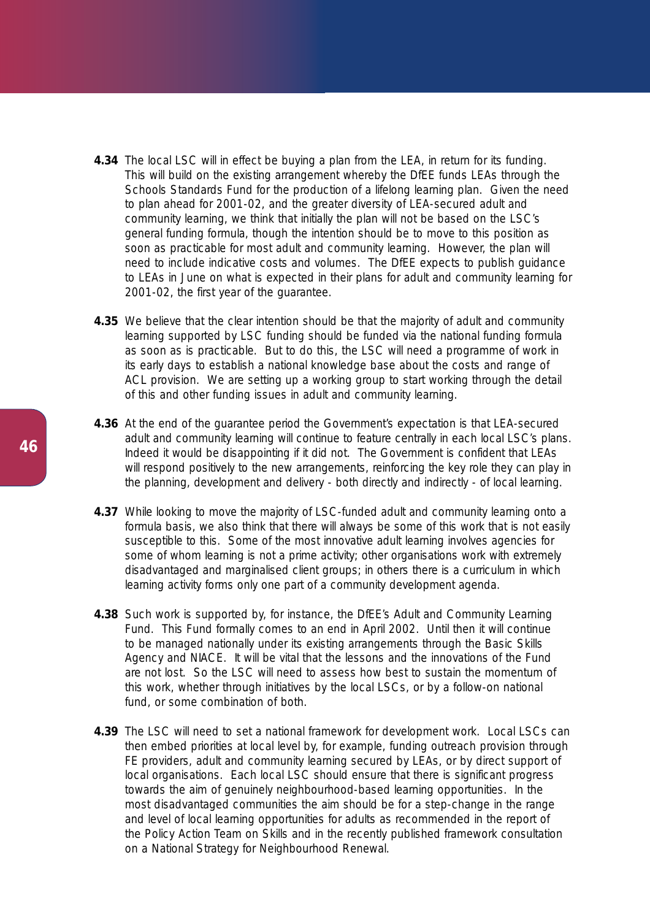- **4.34** The local LSC will in effect be buying a plan from the LEA, in return for its funding. This will build on the existing arrangement whereby the DfEE funds LEAs through the Schools Standards Fund for the production of a lifelong learning plan. Given the need to plan ahead for 2001-02, and the greater diversity of LEA-secured adult and community learning, we think that initially the plan will not be based on the LSC's general funding formula, though the intention should be to move to this position as soon as practicable for most adult and community learning. However, the plan will need to include indicative costs and volumes. The DfEE expects to publish guidance to LEAs in June on what is expected in their plans for adult and community learning for 2001-02, the first year of the guarantee.
- **4.35** We believe that the clear intention should be that the majority of adult and community learning supported by LSC funding should be funded via the national funding formula as soon as is practicable. But to do this, the LSC will need a programme of work in its early days to establish a national knowledge base about the costs and range of ACL provision. We are setting up a working group to start working through the detail of this and other funding issues in adult and community learning.
- **4.36** At the end of the guarantee period the Government's expectation is that LEA-secured adult and community learning will continue to feature centrally in each local LSC's plans. Indeed it would be disappointing if it did not. The Government is confident that LEAs will respond positively to the new arrangements, reinforcing the key role they can play in the planning, development and delivery - both directly and indirectly - of local learning.
- **4.37** While looking to move the majority of LSC-funded adult and community learning onto a formula basis, we also think that there will always be some of this work that is not easily susceptible to this. Some of the most innovative adult learning involves agencies for some of whom learning is not a prime activity; other organisations work with extremely disadvantaged and marginalised client groups; in others there is a curriculum in which learning activity forms only one part of a community development agenda.
- **4.38** Such work is supported by, for instance, the DfEE's Adult and Community Learning Fund. This Fund formally comes to an end in April 2002. Until then it will continue to be managed nationally under its existing arrangements through the Basic Skills Agency and NIACE. It will be vital that the lessons and the innovations of the Fund are not lost. So the LSC will need to assess how best to sustain the momentum of this work, whether through initiatives by the local LSCs, or by a follow-on national fund, or some combination of both.
- **4.39** The LSC will need to set a national framework for development work. Local LSCs can then embed priorities at local level by, for example, funding outreach provision through FE providers, adult and community learning secured by LEAs, or by direct support of local organisations. Each local LSC should ensure that there is significant progress towards the aim of genuinely neighbourhood-based learning opportunities. In the most disadvantaged communities the aim should be for a step-change in the range and level of local learning opportunities for adults as recommended in the report of the Policy Action Team on Skills and in the recently published framework consultation on a National Strategy for Neighbourhood Renewal.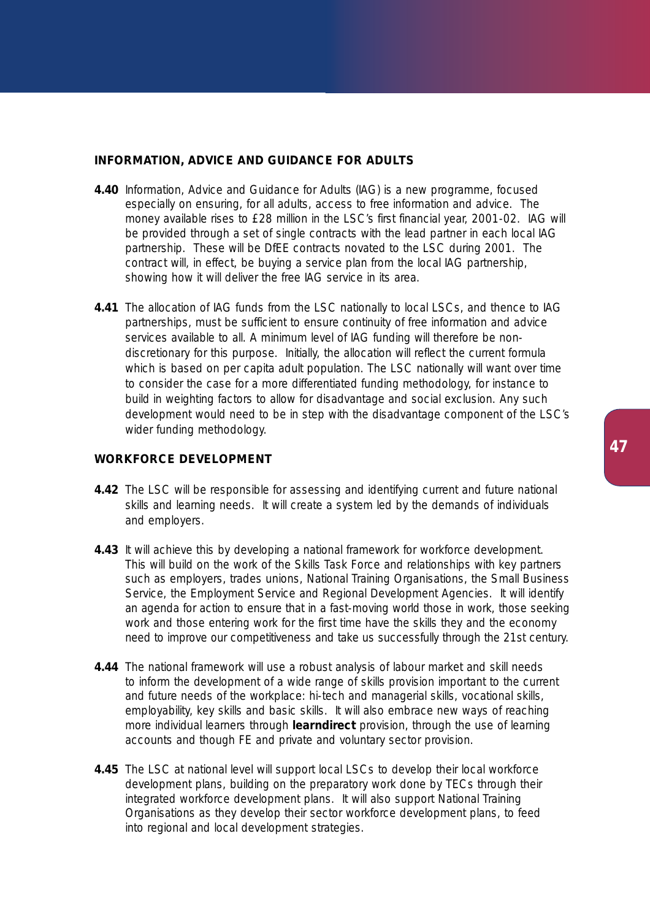# **INFORMATION, ADVICE AND GUIDANCE FOR ADULTS**

- **4.40** Information, Advice and Guidance for Adults (IAG) is a new programme, focused especially on ensuring, for all adults, access to free information and advice. The money available rises to £28 million in the LSC's first financial year, 2001-02. IAG will be provided through a set of single contracts with the lead partner in each local IAG partnership. These will be DfEE contracts novated to the LSC during 2001. The contract will, in effect, be buying a service plan from the local IAG partnership, showing how it will deliver the free IAG service in its area.
- **4.41** The allocation of IAG funds from the LSC nationally to local LSCs, and thence to IAG partnerships, must be sufficient to ensure continuity of free information and advice services available to all. A minimum level of IAG funding will therefore be nondiscretionary for this purpose. Initially, the allocation will reflect the current formula which is based on per capita adult population. The LSC nationally will want over time to consider the case for a more differentiated funding methodology, for instance to build in weighting factors to allow for disadvantage and social exclusion. Any such development would need to be in step with the disadvantage component of the LSC's wider funding methodology.

## **WORKFORCE DEVELOPMENT**

- **4.42** The LSC will be responsible for assessing and identifying current and future national skills and learning needs. It will create a system led by the demands of individuals and employers.
- **4.43** It will achieve this by developing a national framework for workforce development. This will build on the work of the Skills Task Force and relationships with key partners such as employers, trades unions, National Training Organisations, the Small Business Service, the Employment Service and Regional Development Agencies. It will identify an agenda for action to ensure that in a fast-moving world those in work, those seeking work and those entering work for the first time have the skills they and the economy need to improve our competitiveness and take us successfully through the 21st century.
- **4.44** The national framework will use a robust analysis of labour market and skill needs to inform the development of a wide range of skills provision important to the current and future needs of the workplace: hi-tech and managerial skills, vocational skills, employability, key skills and basic skills. It will also embrace new ways of reaching more individual learners through **learndirect** provision, through the use of learning accounts and though FE and private and voluntary sector provision.
- **4.45** The LSC at national level will support local LSCs to develop their local workforce development plans, building on the preparatory work done by TECs through their integrated workforce development plans. It will also support National Training Organisations as they develop their sector workforce development plans, to feed into regional and local development strategies.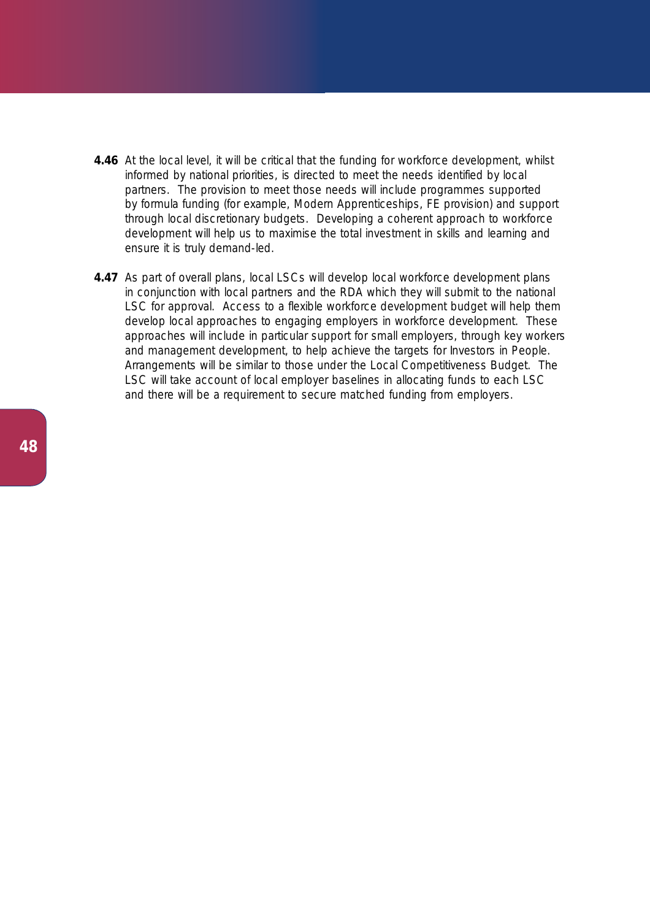- **4.46** At the local level, it will be critical that the funding for workforce development, whilst informed by national priorities, is directed to meet the needs identified by local partners. The provision to meet those needs will include programmes supported by formula funding (for example, Modern Apprenticeships, FE provision) and support through local discretionary budgets. Developing a coherent approach to workforce development will help us to maximise the total investment in skills and learning and ensure it is truly demand-led.
- **4.47** As part of overall plans, local LSCs will develop local workforce development plans in conjunction with local partners and the RDA which they will submit to the national LSC for approval. Access to a flexible workforce development budget will help them develop local approaches to engaging employers in workforce development. These approaches will include in particular support for small employers, through key workers and management development, to help achieve the targets for Investors in People. Arrangements will be similar to those under the Local Competitiveness Budget. The LSC will take account of local employer baselines in allocating funds to each LSC and there will be a requirement to secure matched funding from employers.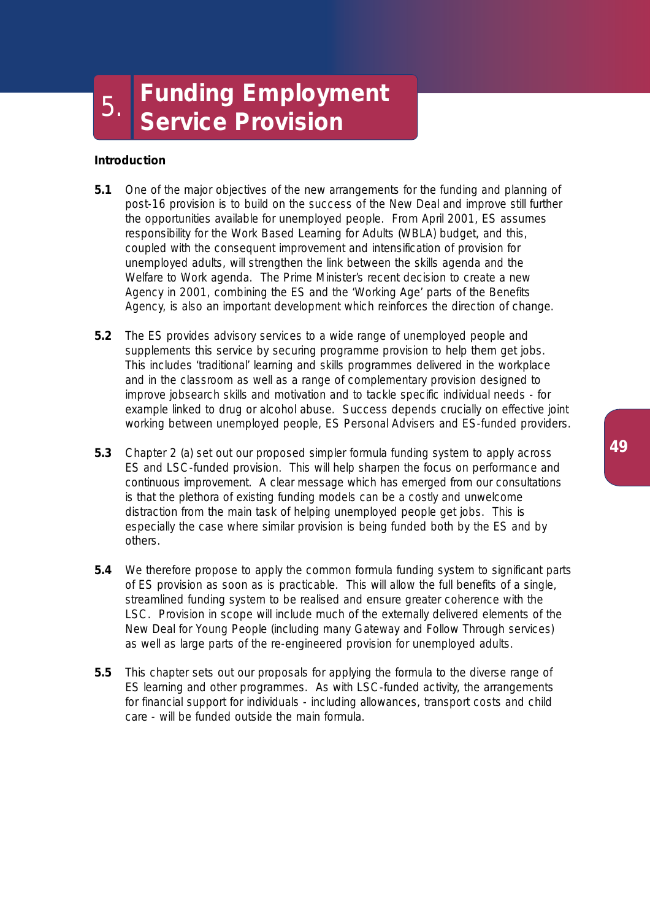# **Introduction**

- **5.1** One of the major objectives of the new arrangements for the funding and planning of post-16 provision is to build on the success of the New Deal and improve still further the opportunities available for unemployed people. From April 2001, ES assumes responsibility for the Work Based Learning for Adults (WBLA) budget, and this, coupled with the consequent improvement and intensification of provision for unemployed adults, will strengthen the link between the skills agenda and the Welfare to Work agenda. The Prime Minister's recent decision to create a new Agency in 2001, combining the ES and the 'Working Age' parts of the Benefits Agency, is also an important development which reinforces the direction of change.
- **5.2** The ES provides advisory services to a wide range of unemployed people and supplements this service by securing programme provision to help them get jobs. This includes 'traditional' learning and skills programmes delivered in the workplace and in the classroom as well as a range of complementary provision designed to improve jobsearch skills and motivation and to tackle specific individual needs - for example linked to drug or alcohol abuse. Success depends crucially on effective joint working between unemployed people, ES Personal Advisers and ES-funded providers.
- **5.3** Chapter 2 (a) set out our proposed simpler formula funding system to apply across ES and LSC-funded provision. This will help sharpen the focus on performance and continuous improvement. A clear message which has emerged from our consultations is that the plethora of existing funding models can be a costly and unwelcome distraction from the main task of helping unemployed people get jobs. This is especially the case where similar provision is being funded both by the ES and by others.
- **5.4** We therefore propose to apply the common formula funding system to significant parts of ES provision as soon as is practicable. This will allow the full benefits of a single, streamlined funding system to be realised and ensure greater coherence with the LSC. Provision in scope will include much of the externally delivered elements of the New Deal for Young People (including many Gateway and Follow Through services) as well as large parts of the re-engineered provision for unemployed adults.
- **5.5** This chapter sets out our proposals for applying the formula to the diverse range of ES learning and other programmes. As with LSC-funded activity, the arrangements for financial support for individuals - including allowances, transport costs and child care - will be funded outside the main formula.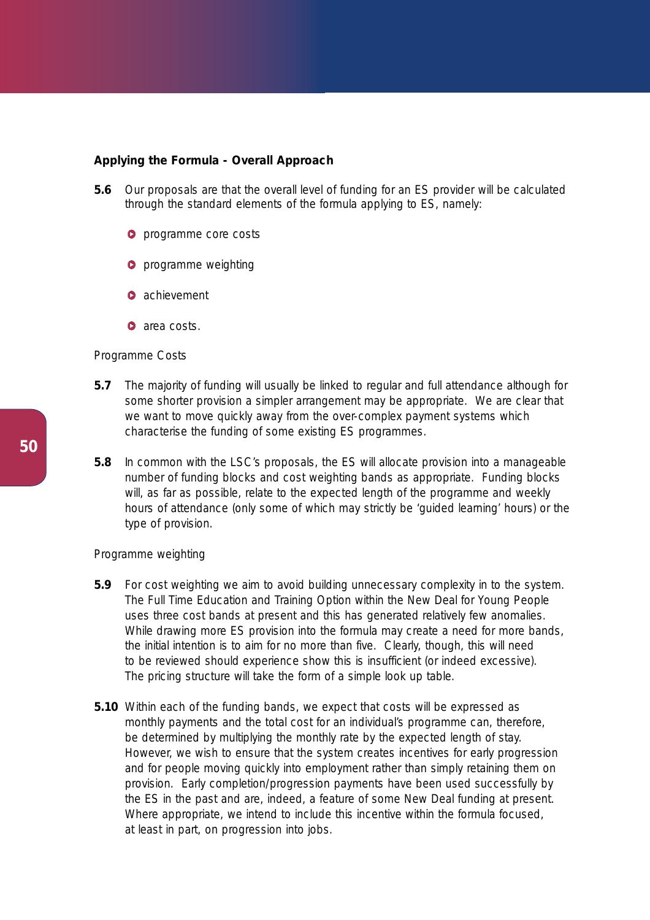## **Applying the Formula - Overall Approach**

- **5.6** Our proposals are that the overall level of funding for an ES provider will be calculated through the standard elements of the formula applying to ES, namely:
	- **O** programme core costs
	- **O** programme weighting
	- **achievement**
	- **a** area costs.

#### *Programme Costs*

- **5.7** The majority of funding will usually be linked to regular and full attendance although for some shorter provision a simpler arrangement may be appropriate. We are clear that we want to move quickly away from the over-complex payment systems which characterise the funding of some existing ES programmes.
- **5.8** In common with the LSC's proposals, the ES will allocate provision into a manageable number of funding blocks and cost weighting bands as appropriate. Funding blocks will, as far as possible, relate to the expected length of the programme and weekly hours of attendance (only some of which may strictly be 'guided learning' hours) or the type of provision.

## *Programme weighting*

- **5.9** For cost weighting we aim to avoid building unnecessary complexity in to the system. The Full Time Education and Training Option within the New Deal for Young People uses three cost bands at present and this has generated relatively few anomalies. While drawing more ES provision into the formula may create a need for more bands, the initial intention is to aim for no more than five. Clearly, though, this will need to be reviewed should experience show this is insufficient (or indeed excessive). The pricing structure will take the form of a simple look up table.
- **5.10** Within each of the funding bands, we expect that costs will be expressed as monthly payments and the total cost for an individual's programme can, therefore, be determined by multiplying the monthly rate by the expected length of stay. However, we wish to ensure that the system creates incentives for early progression and for people moving quickly into employment rather than simply retaining them on provision. Early completion/progression payments have been used successfully by the ES in the past and are, indeed, a feature of some New Deal funding at present. Where appropriate, we intend to include this incentive within the formula focused, at least in part, on progression into jobs.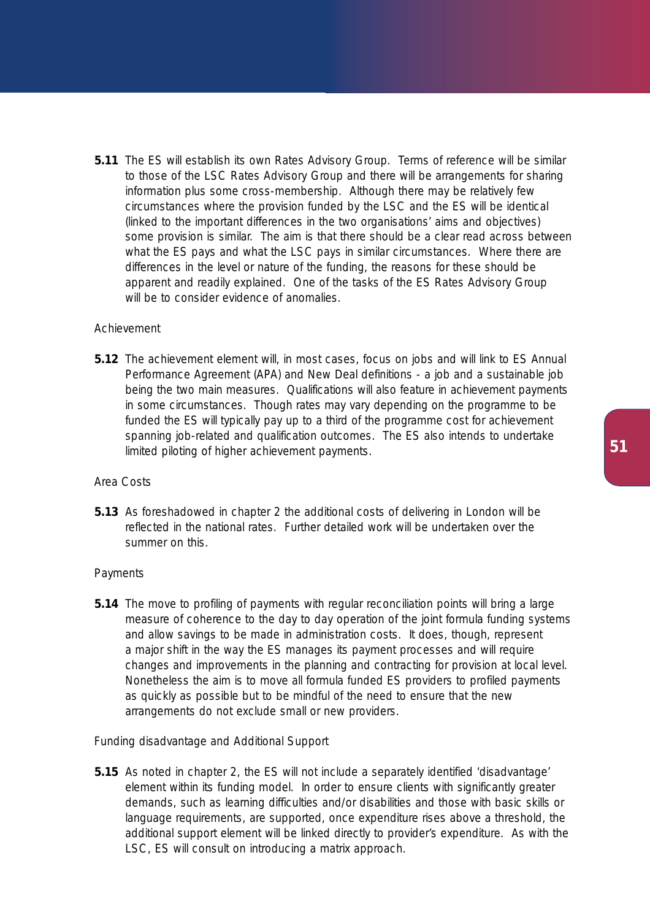**5.11** The ES will establish its own Rates Advisory Group. Terms of reference will be similar to those of the LSC Rates Advisory Group and there will be arrangements for sharing information plus some cross-membership. Although there may be relatively few circumstances where the provision funded by the LSC and the ES will be identical (linked to the important differences in the two organisations' aims and objectives) some provision is similar. The aim is that there should be a clear read across between what the ES pays and what the LSC pays in similar circumstances. Where there are differences in the level or nature of the funding, the reasons for these should be apparent and readily explained. One of the tasks of the ES Rates Advisory Group will be to consider evidence of anomalies.

# *Achievement*

**5.12** The achievement element will, in most cases, focus on jobs and will link to ES Annual Performance Agreement (APA) and New Deal definitions - a job and a sustainable job being the two main measures. Qualifications will also feature in achievement payments in some circumstances. Though rates may vary depending on the programme to be funded the ES will typically pay up to a third of the programme cost for achievement spanning job-related and qualification outcomes. The ES also intends to undertake limited piloting of higher achievement payments.

## *Area Costs*

**5.13** As foreshadowed in chapter 2 the additional costs of delivering in London will be reflected in the national rates. Further detailed work will be undertaken over the summer on this.

# *Payments*

**5.14** The move to profiling of payments with regular reconciliation points will bring a large measure of coherence to the day to day operation of the joint formula funding systems and allow savings to be made in administration costs. It does, though, represent a major shift in the way the ES manages its payment processes and will require changes and improvements in the planning and contracting for provision at local level. Nonetheless the aim is to move all formula funded ES providers to profiled payments as quickly as possible but to be mindful of the need to ensure that the new arrangements do not exclude small or new providers.

# *Funding disadvantage and Additional Support*

**5.15** As noted in chapter 2, the ES will not include a separately identified 'disadvantage' element within its funding model. In order to ensure clients with significantly greater demands, such as learning difficulties and/or disabilities and those with basic skills or language requirements, are supported, once expenditure rises above a threshold, the additional support element will be linked directly to provider's expenditure. As with the LSC, ES will consult on introducing a matrix approach.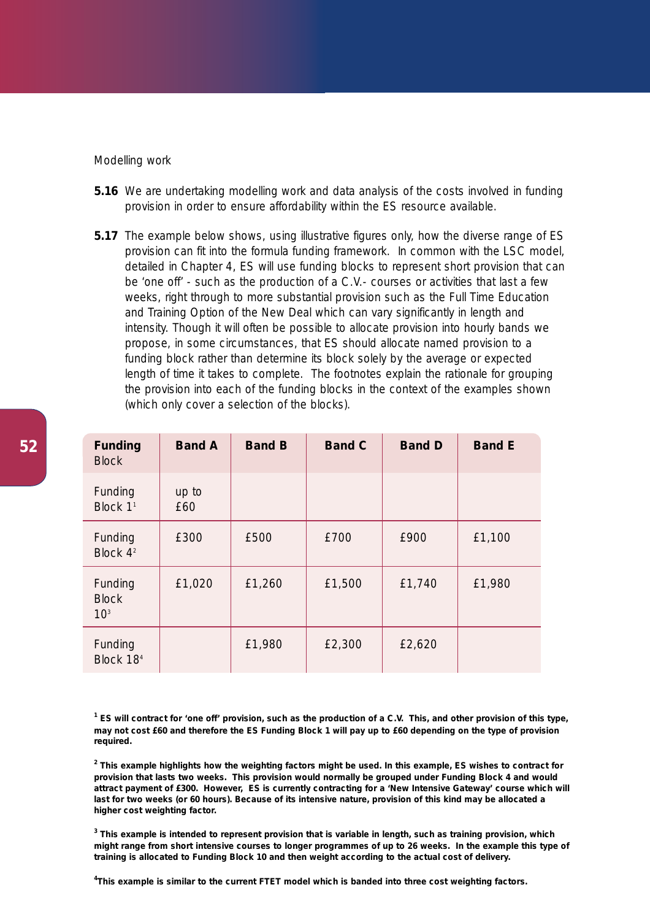## *Modelling work*

- **5.16** We are undertaking modelling work and data analysis of the costs involved in funding provision in order to ensure affordability within the ES resource available.
- **5.17** The example below shows, using illustrative figures only, how the diverse range of ES provision can fit into the formula funding framework. In common with the LSC model, detailed in Chapter 4, ES will use funding blocks to represent short provision that can be 'one off' - such as the production of a C.V.- courses or activities that last a few weeks, right through to more substantial provision such as the Full Time Education and Training Option of the New Deal which can vary significantly in length and intensity. Though it will often be possible to allocate provision into hourly bands we propose, in some circumstances, that ES should allocate named provision to a funding block rather than determine its block solely by the average or expected length of time it takes to complete. The footnotes explain the rationale for grouping the provision into each of the funding blocks in the context of the examples shown (which only cover a selection of the blocks).

| <b>Funding</b><br><b>Block</b>             | <b>Band A</b> | <b>Band B</b> | <b>Band C</b> | <b>Band D</b> | <b>Band E</b> |
|--------------------------------------------|---------------|---------------|---------------|---------------|---------------|
| Funding<br>Block 1 <sup>1</sup>            | up to<br>£60  |               |               |               |               |
| Funding<br>Block 4 <sup>2</sup>            | £300          | £500          | £700          | £900          | £1,100        |
| Funding<br><b>Block</b><br>10 <sup>3</sup> | £1,020        | £1,260        | £1,500        | £1,740        | £1,980        |
| Funding<br>Block 18 <sup>4</sup>           |               | £1,980        | £2,300        | £2,620        |               |

**<sup>1</sup> ES will contract for 'one off' provision, such as the production of a C.V. This, and other provision of this type, may not cost £60 and therefore the ES Funding Block 1 will pay** *up to £60* **depending on the type of provision required.** 

**<sup>2</sup> This example highlights how the weighting factors might be used. In this example, ES wishes to contract for provision that lasts two weeks. This provision would normally be grouped under Funding Block 4 and would attract payment of £300. However, ES is currently contracting for a 'New Intensive Gateway' course which will last for two weeks (or 60 hours). Because of its intensive nature, provision of this kind may be allocated a higher cost weighting factor.** 

**<sup>3</sup> This example is intended to represent provision that is variable in length, such as training provision, which might range from short intensive courses to longer programmes of up to 26 weeks. In the example this type of training is allocated to Funding Block 10 and then weight according to the actual cost of delivery.**

**4 This example is similar to the current FTET model which is banded into three cost weighting factors.**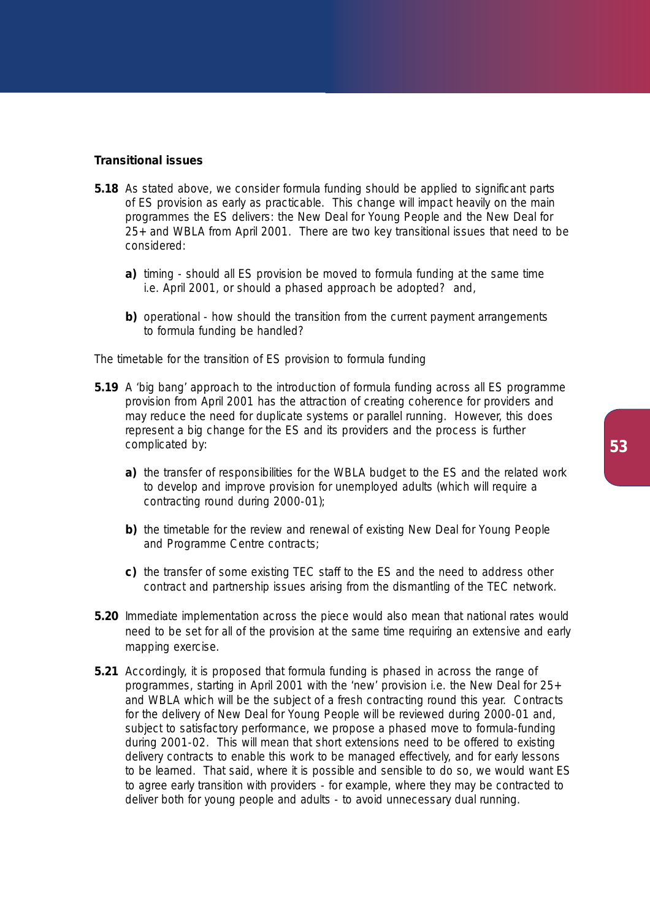## **Transitional issues**

- **5.18** As stated above, we consider formula funding should be applied to significant parts of ES provision as early as practicable. This change will impact heavily on the main programmes the ES delivers: the New Deal for Young People and the New Deal for 25+ and WBLA from April 2001. There are two key transitional issues that need to be considered:
	- **a)** timing should all ES provision be moved to formula funding at the same time i.e. April 2001, or should a phased approach be adopted? and,
	- **b)** operational how should the transition from the current payment arrangements to formula funding be handled?

## *The timetable for the transition of ES provision to formula funding*

- **5.19** A 'big bang' approach to the introduction of formula funding across all ES programme provision from April 2001 has the attraction of creating coherence for providers and may reduce the need for duplicate systems or parallel running. However, this does represent a big change for the ES and its providers and the process is further complicated by:
	- **a)** the transfer of responsibilities for the WBLA budget to the ES and the related work to develop and improve provision for unemployed adults (which will require a contracting round during 2000-01);
	- **b)** the timetable for the review and renewal of existing New Deal for Young People and Programme Centre contracts;
	- **c)** the transfer of some existing TEC staff to the ES and the need to address other contract and partnership issues arising from the dismantling of the TEC network.
- **5.20** Immediate implementation across the piece would also mean that national rates would need to be set for all of the provision at the same time requiring an extensive and early mapping exercise.
- **5.21** Accordingly, it is proposed that formula funding is phased in across the range of programmes, starting in April 2001 with the 'new' provision i.e. the New Deal for 25+ and WBLA which will be the subject of a fresh contracting round this year. Contracts for the delivery of New Deal for Young People will be reviewed during 2000-01 and, subject to satisfactory performance, we propose a phased move to formula-funding during 2001-02. This will mean that short extensions need to be offered to existing delivery contracts to enable this work to be managed effectively, and for early lessons to be learned. That said, where it is possible and sensible to do so, we would want ES to agree early transition with providers - for example, where they may be contracted to deliver both for young people and adults - to avoid unnecessary dual running.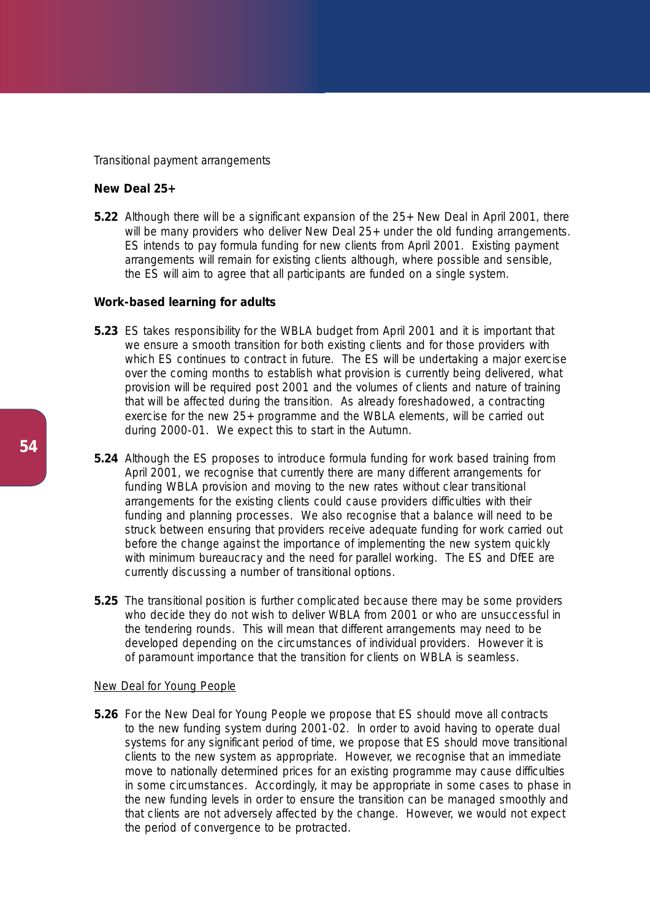#### *Transitional payment arrangements*

# **New Deal 25+**

**5.22** Although there will be a significant expansion of the 25+ New Deal in April 2001, there will be many providers who deliver New Deal 25+ under the old funding arrangements. ES intends to pay formula funding for new clients from April 2001. Existing payment arrangements will remain for existing clients although, where possible and sensible, the ES will aim to agree that all participants are funded on a single system.

## **Work-based learning for adults**

- **5.23** ES takes responsibility for the WBLA budget from April 2001 and it is important that we ensure a smooth transition for both existing clients and for those providers with which ES continues to contract in future. The ES will be undertaking a major exercise over the coming months to establish what provision is currently being delivered, what provision will be required post 2001 and the volumes of clients and nature of training that will be affected during the transition. As already foreshadowed, a contracting exercise for the new 25+ programme and the WBLA elements, will be carried out during 2000-01. We expect this to start in the Autumn.
- **5.24** Although the ES proposes to introduce formula funding for work based training from April 2001, we recognise that currently there are many different arrangements for funding WBLA provision and moving to the new rates without clear transitional arrangements for the existing clients could cause providers difficulties with their funding and planning processes. We also recognise that a balance will need to be struck between ensuring that providers receive adequate funding for work carried out before the change against the importance of implementing the new system quickly with minimum bureaucracy and the need for parallel working. The ES and DfEE are currently discussing a number of transitional options.
- **5.25** The transitional position is further complicated because there may be some providers who decide they do not wish to deliver WBLA from 2001 or who are unsuccessful in the tendering rounds. This will mean that different arrangements may need to be developed depending on the circumstances of individual providers. However it is of paramount importance that the transition for clients on WBLA is seamless.

## New Deal for Young People

**5.26** For the New Deal for Young People we propose that ES should move all contracts to the new funding system during 2001-02. In order to avoid having to operate dual systems for any significant period of time, we propose that ES should move transitional clients to the new system as appropriate. However, we recognise that an immediate move to nationally determined prices for an existing programme may cause difficulties in some circumstances. Accordingly, it may be appropriate in some cases to phase in the new funding levels in order to ensure the transition can be managed smoothly and that clients are not adversely affected by the change. However, we would not expect the period of convergence to be protracted.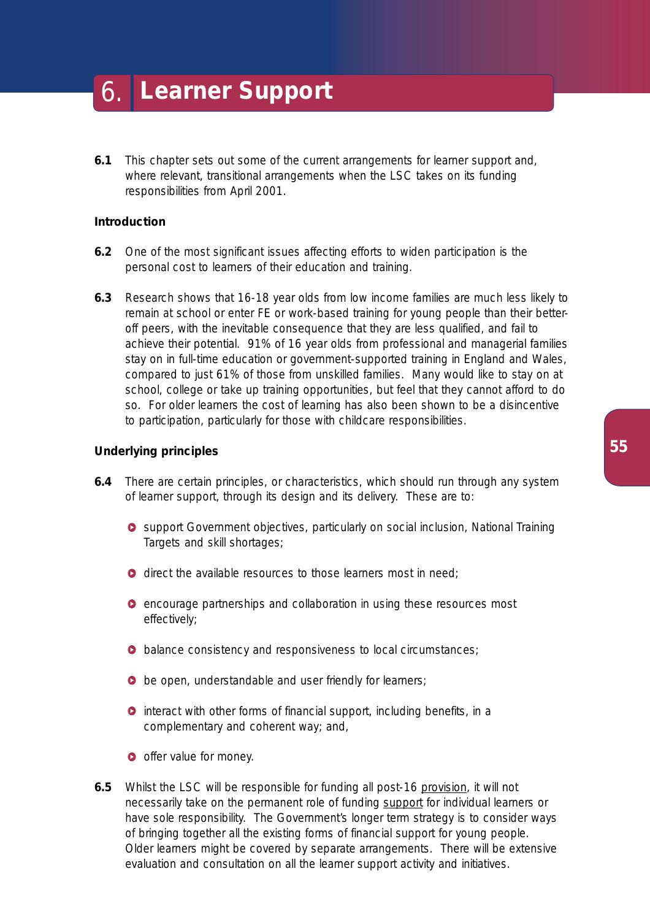- 6. **Learner Support**
- **6.1** This chapter sets out some of the current arrangements for learner support and, where relevant, transitional arrangements when the LSC takes on its funding responsibilities from April 2001.

# **Introduction**

- **6.2** One of the most significant issues affecting efforts to widen participation is the personal cost to learners of their education and training.
- **6.3** Research shows that 16-18 year olds from low income families are much less likely to remain at school or enter FE or work-based training for young people than their betteroff peers, with the inevitable consequence that they are less qualified, and fail to achieve their potential. 91% of 16 year olds from professional and managerial families stay on in full-time education or government-supported training in England and Wales, compared to just 61% of those from unskilled families. Many would like to stay on at school, college or take up training opportunities, but feel that they cannot afford to do so. For older learners the cost of learning has also been shown to be a disincentive to participation, particularly for those with childcare responsibilities.

## **Underlying principles**

- **6.4** There are certain principles, or characteristics, which should run through any system of learner support, through its design and its delivery. These are to:
	- **O** support Government objectives, particularly on social inclusion, National Training Targets and skill shortages;
	- **o** direct the available resources to those learners most in need:
	- **e** encourage partnerships and collaboration in using these resources most effectively;
	- **O** balance consistency and responsiveness to local circumstances;
	- **b** be open, understandable and user friendly for learners;
	- **O** interact with other forms of financial support, including benefits, in a complementary and coherent way; and,
	- **o** offer value for money.
- **6.5** Whilst the LSC will be responsible for funding all post-16 provision, it will not necessarily take on the permanent role of funding support for individual learners or have sole responsibility. The Government's longer term strategy is to consider ways of bringing together all the existing forms of financial support for young people. Older learners might be covered by separate arrangements. There will be extensive evaluation and consultation on all the learner support activity and initiatives.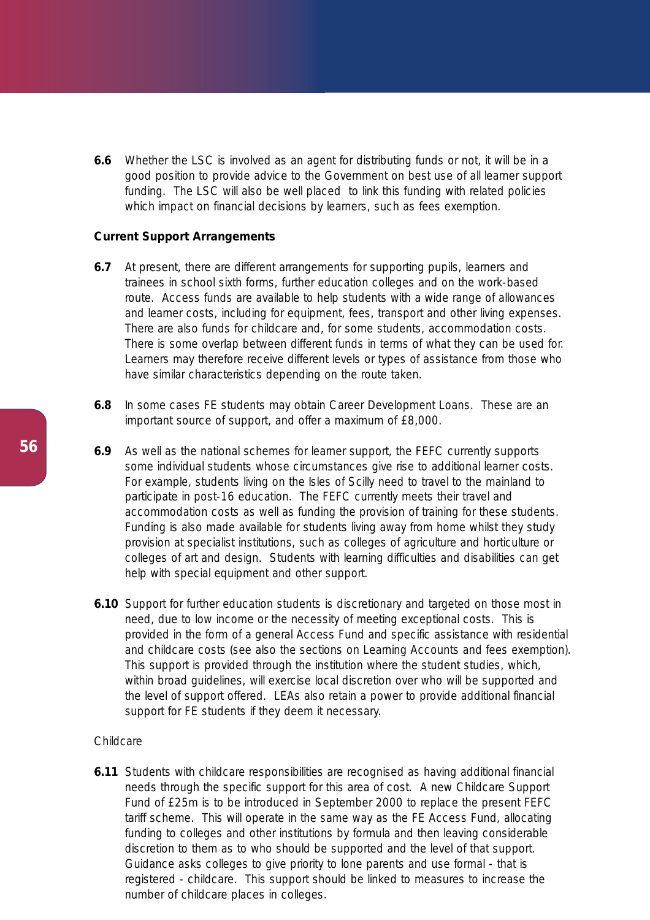**6.6** Whether the LSC is involved as an agent for distributing funds or not, it will be in a good position to provide advice to the Government on best use of all learner support funding. The LSC will also be well placed to link this funding with related policies which impact on financial decisions by learners, such as fees exemption.

# **Current Support Arrangements**

- **6.7** At present, there are different arrangements for supporting pupils, learners and trainees in school sixth forms, further education colleges and on the work-based route. Access funds are available to help students with a wide range of allowances and learner costs, including for equipment, fees, transport and other living expenses. There are also funds for childcare and, for some students, accommodation costs. There is some overlap between different funds in terms of what they can be used for. Learners may therefore receive different levels or types of assistance from those who have similar characteristics depending on the route taken.
- **6.8** In some cases FE students may obtain Career Development Loans. These are an important source of support, and offer a maximum of £8,000.
- **6.9** As well as the national schemes for learner support, the FEFC currently supports some individual students whose circumstances give rise to additional learner costs. For example, students living on the Isles of Scilly need to travel to the mainland to participate in post-16 education. The FEFC currently meets their travel and accommodation costs as well as funding the provision of training for these students. Funding is also made available for students living away from home whilst they study provision at specialist institutions, such as colleges of agriculture and horticulture or colleges of art and design. Students with learning difficulties and disabilities can get help with special equipment and other support.
- **6.10** Support for further education students is discretionary and targeted on those most in need, due to low income or the necessity of meeting exceptional costs. This is provided in the form of a general Access Fund and specific assistance with residential and childcare costs (see also the sections on Learning Accounts and fees exemption). This support is provided through the institution where the student studies, which, within broad guidelines, will exercise local discretion over who will be supported and the level of support offered. LEAs also retain a power to provide additional financial support for FE students if they deem it necessary.

#### *Childcare*

**6.11** Students with childcare responsibilities are recognised as having additional financial needs through the specific support for this area of cost. A new Childcare Support Fund of £25m is to be introduced in September 2000 to replace the present FEFC tariff scheme. This will operate in the same way as the FE Access Fund, allocating funding to colleges and other institutions by formula and then leaving considerable discretion to them as to who should be supported and the level of that support. Guidance asks colleges to give priority to lone parents and use formal - that is registered - childcare. This support should be linked to measures to increase the number of childcare places in colleges.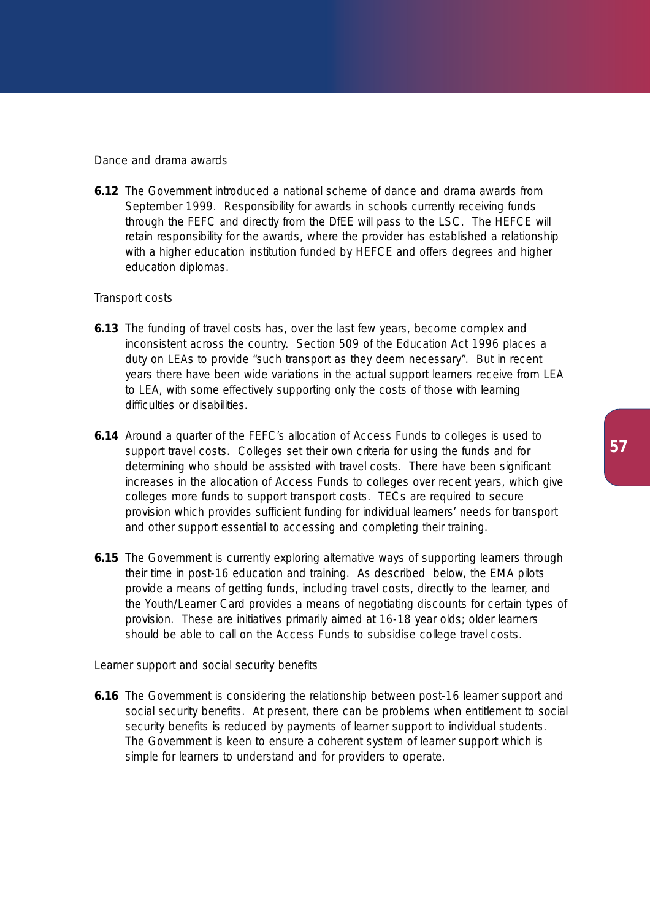## *Dance and drama awards*

**6.12** The Government introduced a national scheme of dance and drama awards from September 1999. Responsibility for awards in schools currently receiving funds through the FEFC and directly from the DfEE will pass to the LSC. The HEFCE will retain responsibility for the awards, where the provider has established a relationship with a higher education institution funded by HEFCE and offers degrees and higher education diplomas.

# *Transport costs*

- **6.13** The funding of travel costs has, over the last few years, become complex and inconsistent across the country. Section 509 of the Education Act 1996 places a duty on LEAs to provide "such transport as they deem necessary". But in recent years there have been wide variations in the actual support learners receive from LEA to LEA, with some effectively supporting only the costs of those with learning difficulties or disabilities.
- **6.14** Around a quarter of the FEFC's allocation of Access Funds to colleges is used to support travel costs. Colleges set their own criteria for using the funds and for determining who should be assisted with travel costs. There have been significant increases in the allocation of Access Funds to colleges over recent years, which give colleges more funds to support transport costs. TECs are required to secure provision which provides sufficient funding for individual learners' needs for transport and other support essential to accessing and completing their training.
- **6.15** The Government is currently exploring alternative ways of supporting learners through their time in post-16 education and training. As described below, the EMA pilots provide a means of getting funds, including travel costs, directly to the learner, and the Youth/Learner Card provides a means of negotiating discounts for certain types of provision. These are initiatives primarily aimed at 16-18 year olds; older learners should be able to call on the Access Funds to subsidise college travel costs.

# *Learner support and social security benefits*

**6.16** The Government is considering the relationship between post-16 learner support and social security benefits. At present, there can be problems when entitlement to social security benefits is reduced by payments of learner support to individual students. The Government is keen to ensure a coherent system of learner support which is simple for learners to understand and for providers to operate.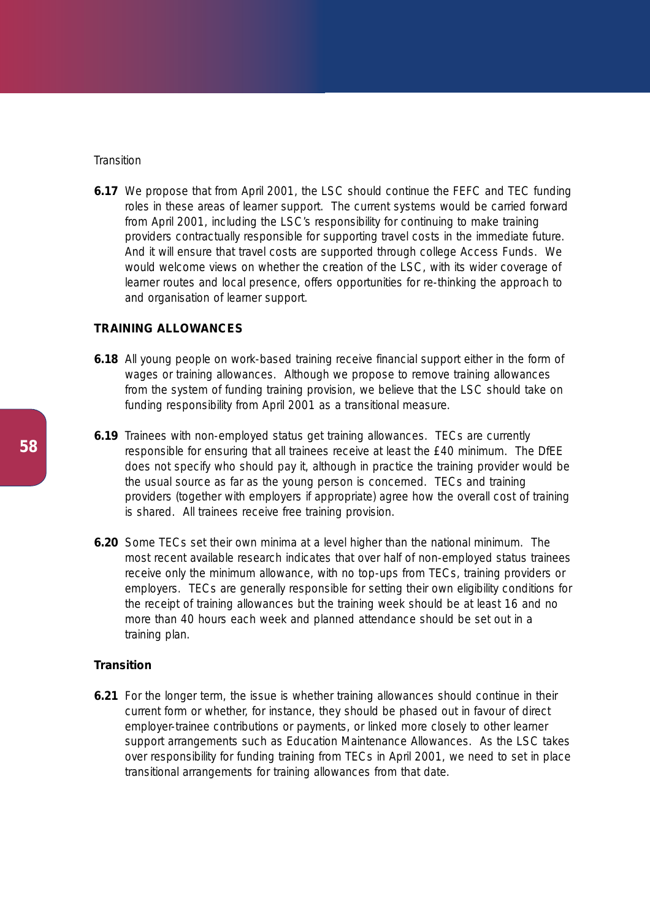## *Transition*

**6.17** We propose that from April 2001, the LSC should continue the FEFC and TEC funding roles in these areas of learner support. The current systems would be carried forward from April 2001, including the LSC's responsibility for continuing to make training providers contractually responsible for supporting travel costs in the immediate future. And it will ensure that travel costs are supported through college Access Funds. We would welcome views on whether the creation of the LSC, with its wider coverage of learner routes and local presence, offers opportunities for re-thinking the approach to and organisation of learner support.

# **TRAINING ALLOWANCES**

- **6.18** All young people on work-based training receive financial support either in the form of wages or training allowances. Although we propose to remove training allowances from the system of funding training provision, we believe that the LSC should take on funding responsibility from April 2001 as a transitional measure.
- **6.19** Trainees with non-employed status get training allowances. TECs are currently responsible for ensuring that all trainees receive at least the £40 minimum. The DfEE does not specify who should pay it, although in practice the training provider would be the usual source as far as the young person is concerned. TECs and training providers (together with employers if appropriate) agree how the overall cost of training is shared. All trainees receive free training provision.
- **6.20** Some TECs set their own minima at a level higher than the national minimum. The most recent available research indicates that over half of non-employed status trainees receive only the minimum allowance, with no top-ups from TECs, training providers or employers. TECs are generally responsible for setting their own eligibility conditions for the receipt of training allowances but the training week should be at least 16 and no more than 40 hours each week and planned attendance should be set out in a training plan.

# **Transition**

**6.21** For the longer term, the issue is whether training allowances should continue in their current form or whether, for instance, they should be phased out in favour of direct employer-trainee contributions or payments, or linked more closely to other learner support arrangements such as Education Maintenance Allowances. As the LSC takes over responsibility for funding training from TECs in April 2001, we need to set in place transitional arrangements for training allowances from that date.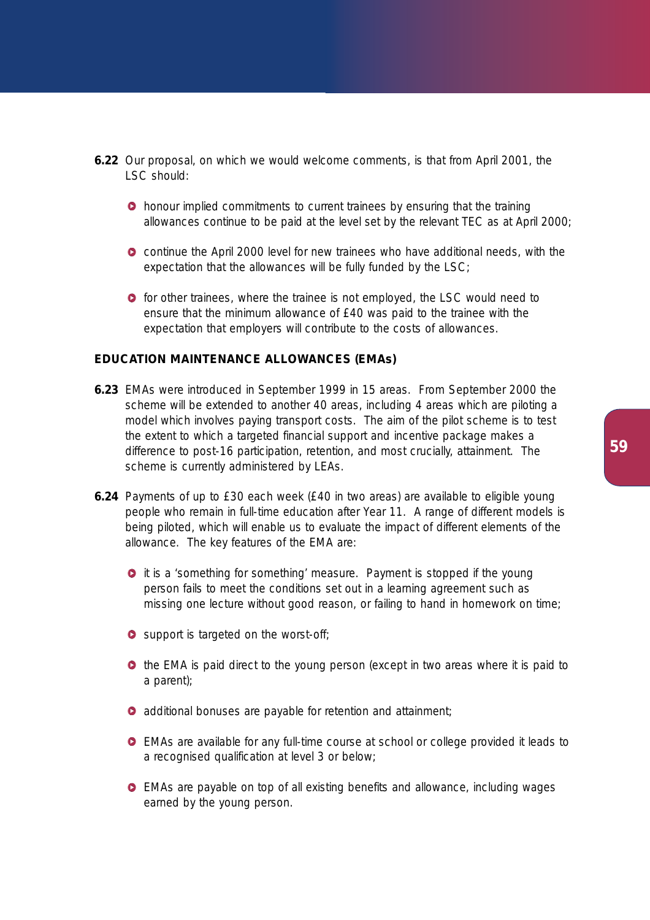- **6.22** Our proposal, on which we would welcome comments, is that from April 2001, the LSC should:
	- **•** honour implied commitments to current trainees by ensuring that the training allowances continue to be paid at the level set by the relevant TEC as at April 2000;
	- continue the April 2000 level for new trainees who have additional needs, with the expectation that the allowances will be fully funded by the LSC;
	- $\bullet$  for other trainees, where the trainee is not employed, the LSC would need to ensure that the minimum allowance of £40 was paid to the trainee with the expectation that employers will contribute to the costs of allowances.

## **EDUCATION MAINTENANCE ALLOWANCES (EMAs)**

- **6.23** EMAs were introduced in September 1999 in 15 areas. From September 2000 the scheme will be extended to another 40 areas, including 4 areas which are piloting a model which involves paying transport costs. The aim of the pilot scheme is to test the extent to which a targeted financial support and incentive package makes a difference to post-16 participation, retention, and most crucially, attainment. The scheme is currently administered by LEAs.
- **6.24** Payments of up to £30 each week (£40 in two areas) are available to eligible young people who remain in full-time education after Year 11. A range of different models is being piloted, which will enable us to evaluate the impact of different elements of the allowance. The key features of the EMA are:
	- **O** it is a 'something for something' measure. Payment is stopped if the young person fails to meet the conditions set out in a learning agreement such as missing one lecture without good reason, or failing to hand in homework on time;
	- **O** support is targeted on the worst-off;
	- **•** the EMA is paid direct to the young person (except in two areas where it is paid to a parent);
	- **O** additional bonuses are payable for retention and attainment;
	- EMAs are available for any full-time course at school or college provided it leads to a recognised qualification at level 3 or below;
	- EMAs are payable on top of all existing benefits and allowance, including wages earned by the young person.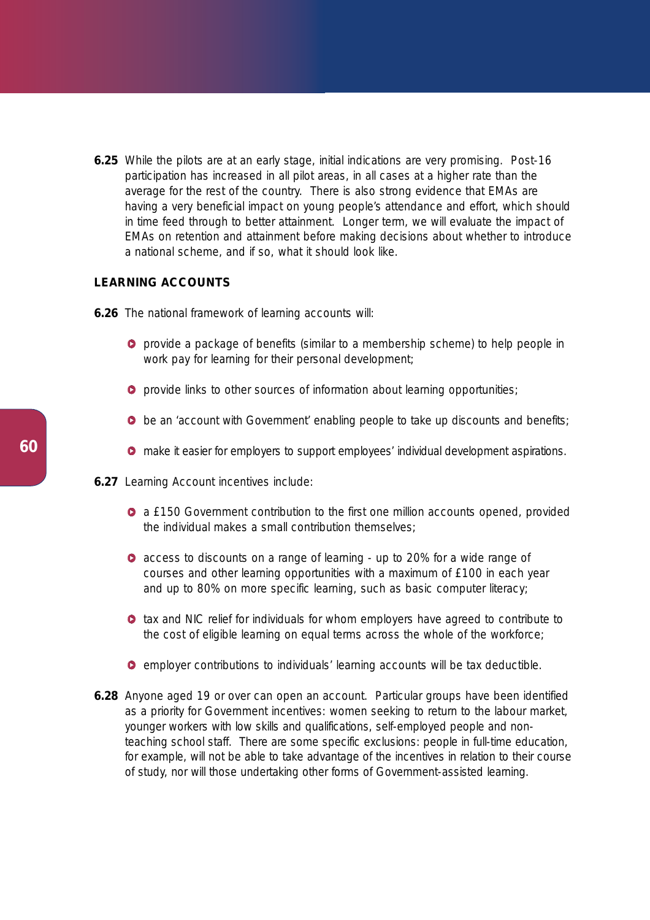**6.25** While the pilots are at an early stage, initial indications are very promising. Post-16 participation has increased in all pilot areas, in all cases at a higher rate than the average for the rest of the country. There is also strong evidence that EMAs are having a very beneficial impact on young people's attendance and effort, which should in time feed through to better attainment. Longer term, we will evaluate the impact of EMAs on retention and attainment before making decisions about whether to introduce a national scheme, and if so, what it should look like.

# **LEARNING ACCOUNTS**

- **6.26** The national framework of learning accounts will:
	- $\bullet$  provide a package of benefits (similar to a membership scheme) to help people in work pay for learning for their personal development;
	- **P** provide links to other sources of information about learning opportunities;
	- **O** be an 'account with Government' enabling people to take up discounts and benefits;
	- **O** make it easier for employers to support employees' individual development aspirations.
- **6.27** Learning Account incentives include:
	- a £150 Government contribution to the first one million accounts opened, provided the individual makes a small contribution themselves;
	- **O** access to discounts on a range of learning up to 20% for a wide range of courses and other learning opportunities with a maximum of £100 in each year and up to 80% on more specific learning, such as basic computer literacy;
	- $\bullet$  tax and NIC relief for individuals for whom employers have agreed to contribute to the cost of eligible learning on equal terms across the whole of the workforce;
	- $\bullet$  employer contributions to individuals' learning accounts will be tax deductible.
- **6.28** Anyone aged 19 or over can open an account. Particular groups have been identified as a priority for Government incentives: women seeking to return to the labour market, younger workers with low skills and qualifications, self-employed people and nonteaching school staff. There are some specific exclusions: people in full-time education, for example, will not be able to take advantage of the incentives in relation to their course of study, nor will those undertaking other forms of Government-assisted learning.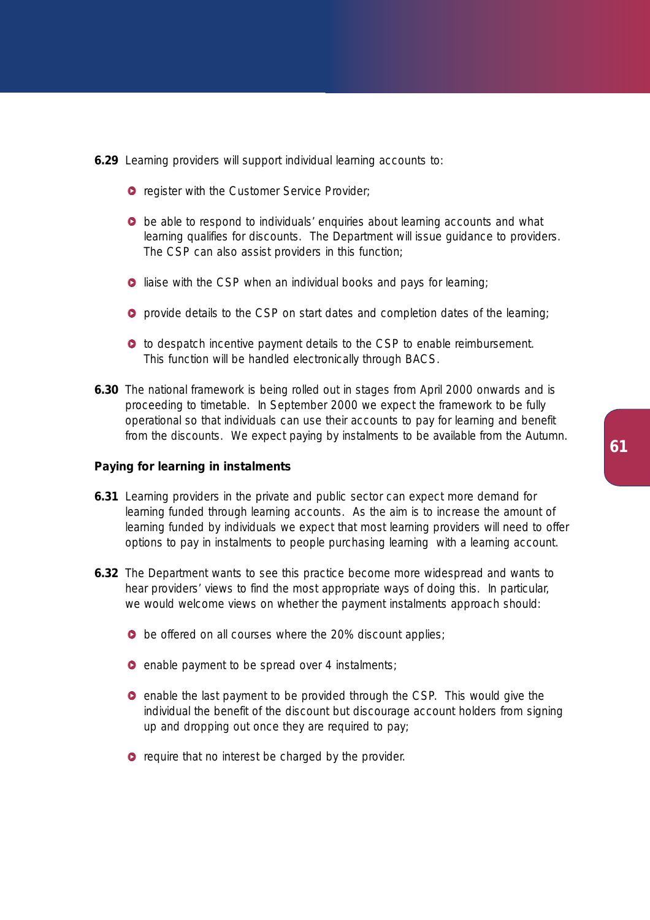- **6.29** Learning providers will support individual learning accounts to:
	- **O** register with the Customer Service Provider;
	- **•** be able to respond to individuals' enquiries about learning accounts and what learning qualifies for discounts. The Department will issue guidance to providers. The CSP can also assist providers in this function;
	- **O** liaise with the CSP when an individual books and pays for learning;
	- **O** provide details to the CSP on start dates and completion dates of the learning;
	- $\bullet$  to despatch incentive payment details to the CSP to enable reimbursement. This function will be handled electronically through BACS.
- **6.30** The national framework is being rolled out in stages from April 2000 onwards and is proceeding to timetable. In September 2000 we expect the framework to be fully operational so that individuals can use their accounts to pay for learning and benefit from the discounts. We expect paying by instalments to be available from the Autumn.

# **Paying for learning in instalments**

- **6.31** Learning providers in the private and public sector can expect more demand for learning funded through learning accounts. As the aim is to increase the amount of learning funded by individuals we expect that most learning providers will need to offer options to pay in instalments to people purchasing learning with a learning account.
- **6.32** The Department wants to see this practice become more widespread and wants to hear providers' views to find the most appropriate ways of doing this. In particular, we would welcome views on whether the payment instalments approach should:
	- **b** be offered on all courses where the 20% discount applies;
	- **O** enable payment to be spread over 4 instalments;
	- **e** enable the last payment to be provided through the CSP. This would give the individual the benefit of the discount but discourage account holders from signing up and dropping out once they are required to pay;
	- **•** require that no interest be charged by the provider.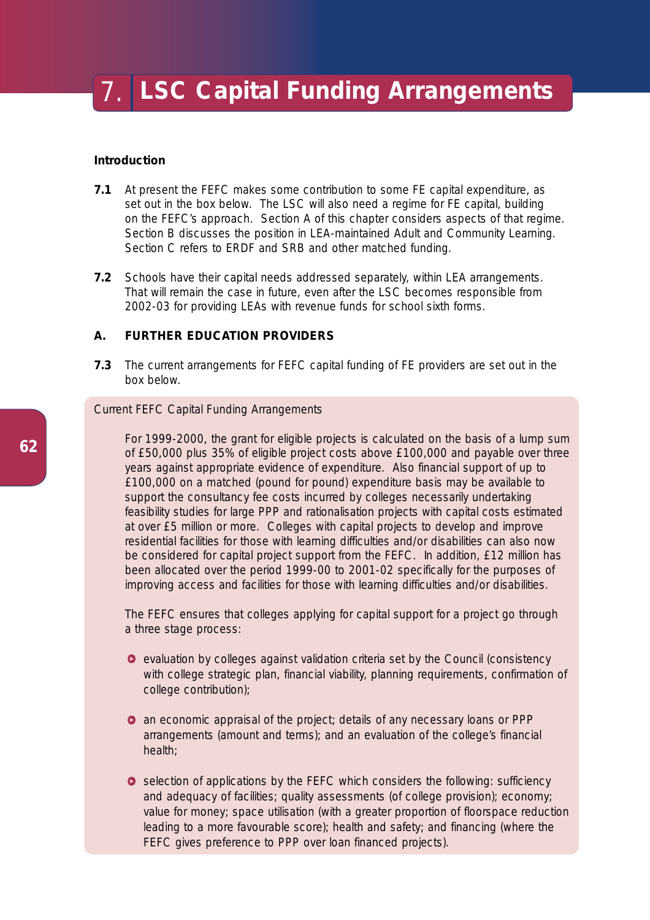## **Introduction**

- **7.1** At present the FEFC makes some contribution to some FE capital expenditure, as set out in the box below. The LSC will also need a regime for FE capital, building on the FEFC's approach. Section A of this chapter considers aspects of that regime. Section B discusses the position in LEA-maintained Adult and Community Learning. Section C refers to ERDF and SRB and other matched funding.
- **7.2** Schools have their capital needs addressed separately, within LEA arrangements. That will remain the case in future, even after the LSC becomes responsible from 2002-03 for providing LEAs with revenue funds for school sixth forms.

# **A. FURTHER EDUCATION PROVIDERS**

**7.3** The current arrangements for FEFC capital funding of FE providers are set out in the box below.

## *Current FEFC Capital Funding Arrangements*

For 1999-2000, the grant for eligible projects is calculated on the basis of a lump sum of £50,000 plus 35% of eligible project costs above £100,000 and payable over three years against appropriate evidence of expenditure. Also financial support of up to £100,000 on a matched (pound for pound) expenditure basis may be available to support the consultancy fee costs incurred by colleges necessarily undertaking feasibility studies for large PPP and rationalisation projects with capital costs estimated at over £5 million or more. Colleges with capital projects to develop and improve residential facilities for those with learning difficulties and/or disabilities can also now be considered for capital project support from the FEFC. In addition, £12 million has been allocated over the period 1999-00 to 2001-02 specifically for the purposes of improving access and facilities for those with learning difficulties and/or disabilities.

The FEFC ensures that colleges applying for capital support for a project go through a three stage process:

- $\bullet$  evaluation by colleges against validation criteria set by the Council (consistency with college strategic plan, financial viability, planning requirements, confirmation of college contribution);
- **•** an economic appraisal of the project; details of any necessary loans or PPP arrangements (amount and terms); and an evaluation of the college's financial health;
- **O** selection of applications by the FEFC which considers the following: sufficiency and adequacy of facilities; quality assessments (of college provision); economy; value for money; space utilisation (with a greater proportion of floorspace reduction leading to a more favourable score); health and safety; and financing (where the FEFC gives preference to PPP over loan financed projects).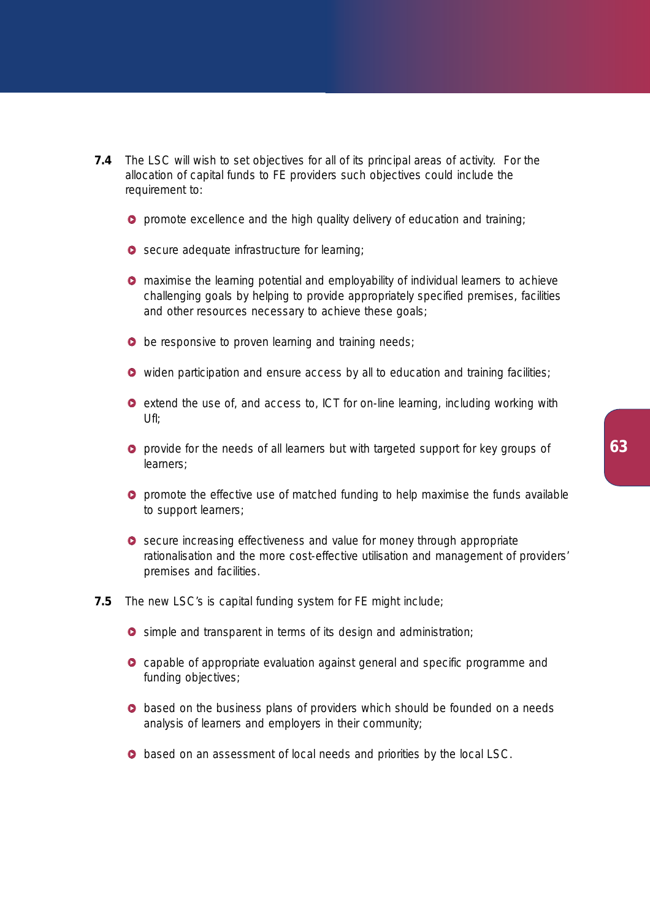- **7.4** The LSC will wish to set objectives for all of its principal areas of activity. For the allocation of capital funds to FE providers such objectives could include the requirement to:
	- **O** promote excellence and the high quality delivery of education and training;
	- Secure adequate infrastructure for learning;
	- **O** maximise the learning potential and employability of individual learners to achieve challenging goals by helping to provide appropriately specified premises, facilities and other resources necessary to achieve these goals;
	- **b** be responsive to proven learning and training needs;
	- **O** widen participation and ensure access by all to education and training facilities;
	- **e** extend the use of, and access to, ICT for on-line learning, including working with  $Uf$ :
	- **O** provide for the needs of all learners but with targeted support for key groups of learners;
	- **O** promote the effective use of matched funding to help maximise the funds available to support learners;
	- **O** secure increasing effectiveness and value for money through appropriate rationalisation and the more cost-effective utilisation and management of providers' premises and facilities.
- **7.5** The new LSC's is capital funding system for FE might include;
	- **O** simple and transparent in terms of its design and administration;
	- **O** capable of appropriate evaluation against general and specific programme and funding objectives;
	- **•** based on the business plans of providers which should be founded on a needs analysis of learners and employers in their community;
	- $\bullet$  based on an assessment of local needs and priorities by the local LSC.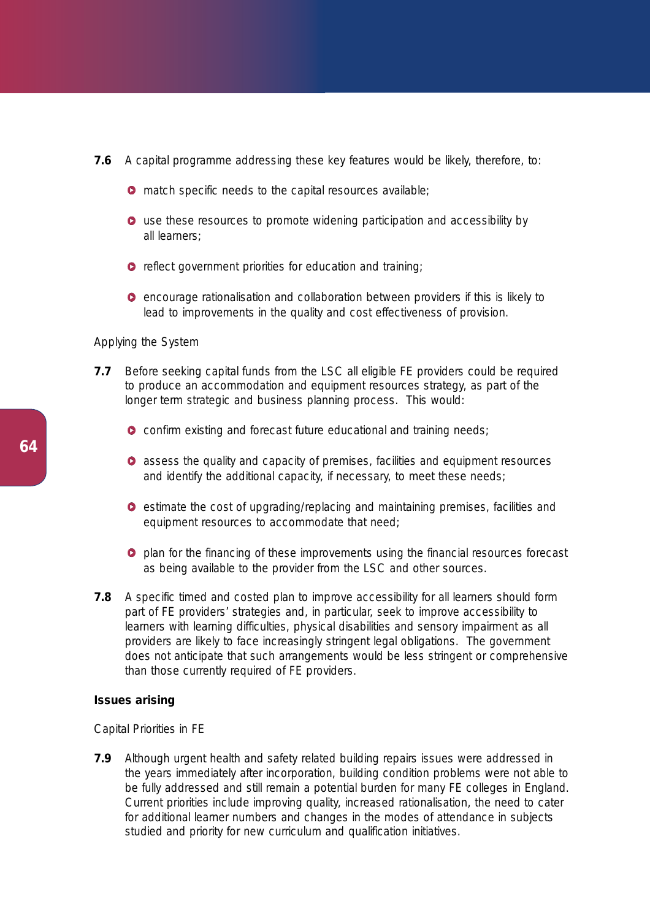- **7.6** A capital programme addressing these key features would be likely, therefore, to:
	- **O** match specific needs to the capital resources available;
	- **O** use these resources to promote widening participation and accessibility by all learners;
	- **O** reflect government priorities for education and training;
	- $\bullet$  encourage rationalisation and collaboration between providers if this is likely to lead to improvements in the quality and cost effectiveness of provision.

## *Applying the System*

- **7.7** Before seeking capital funds from the LSC all eligible FE providers could be required to produce an accommodation and equipment resources strategy, as part of the longer term strategic and business planning process. This would:
	- **O** confirm existing and forecast future educational and training needs;
	- **O** assess the quality and capacity of premises, facilities and equipment resources and identify the additional capacity, if necessary, to meet these needs;
	- $\bullet$  estimate the cost of upgrading/replacing and maintaining premises, facilities and equipment resources to accommodate that need;
	- **P** plan for the financing of these improvements using the financial resources forecast as being available to the provider from the LSC and other sources.
- **7.8** A specific timed and costed plan to improve accessibility for all learners should form part of FE providers' strategies and, in particular, seek to improve accessibility to learners with learning difficulties, physical disabilities and sensory impairment as all providers are likely to face increasingly stringent legal obligations. The government does not anticipate that such arrangements would be less stringent or comprehensive than those currently required of FE providers.

## **Issues arising**

#### *Capital Priorities in FE*

**7.9** Although urgent health and safety related building repairs issues were addressed in the years immediately after incorporation, building condition problems were not able to be fully addressed and still remain a potential burden for many FE colleges in England. Current priorities include improving quality, increased rationalisation, the need to cater for additional learner numbers and changes in the modes of attendance in subjects studied and priority for new curriculum and qualification initiatives.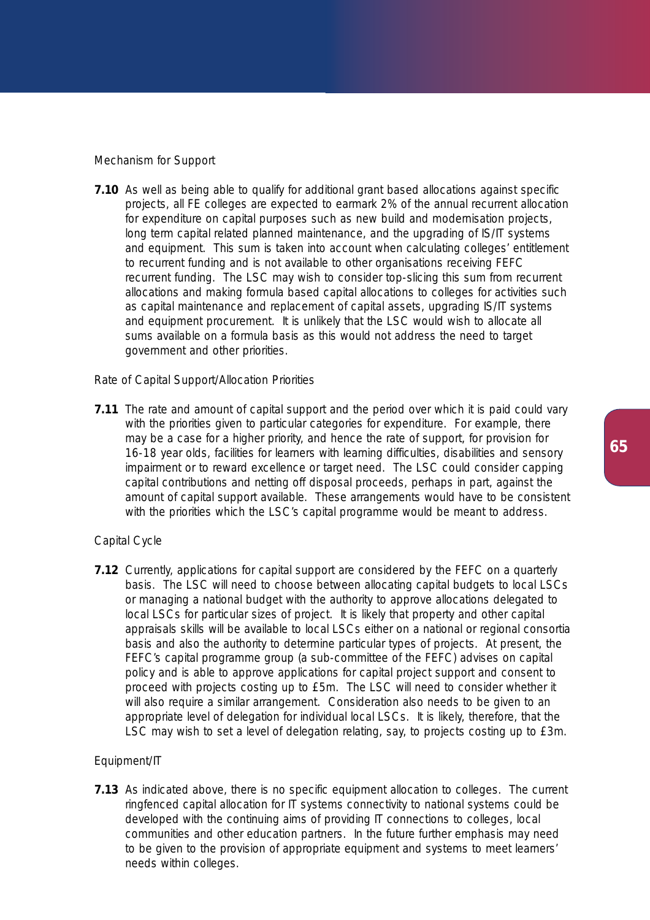## *Mechanism for Support*

**7.10** As well as being able to qualify for additional grant based allocations against specific projects, all FE colleges are expected to earmark 2% of the annual recurrent allocation for expenditure on capital purposes such as new build and modernisation projects, long term capital related planned maintenance, and the upgrading of IS/IT systems and equipment. This sum is taken into account when calculating colleges' entitlement to recurrent funding and is not available to other organisations receiving FEFC recurrent funding. The LSC may wish to consider top-slicing this sum from recurrent allocations and making formula based capital allocations to colleges for activities such as capital maintenance and replacement of capital assets, upgrading IS/IT systems and equipment procurement. It is unlikely that the LSC would wish to allocate all sums available on a formula basis as this would not address the need to target government and other priorities.

## *Rate of Capital Support/Allocation Priorities*

**7.11** The rate and amount of capital support and the period over which it is paid could vary with the priorities given to particular categories for expenditure. For example, there may be a case for a higher priority, and hence the rate of support, for provision for 16-18 year olds, facilities for learners with learning difficulties, disabilities and sensory impairment or to reward excellence or target need. The LSC could consider capping capital contributions and netting off disposal proceeds, perhaps in part, against the amount of capital support available. These arrangements would have to be consistent with the priorities which the LSC's capital programme would be meant to address.

#### *Capital Cycle*

**7.12** Currently, applications for capital support are considered by the FEFC on a quarterly basis. The LSC will need to choose between allocating capital budgets to local LSCs or managing a national budget with the authority to approve allocations delegated to local LSCs for particular sizes of project. It is likely that property and other capital appraisals skills will be available to local LSCs either on a national or regional consortia basis and also the authority to determine particular types of projects. At present, the FEFC's capital programme group (a sub-committee of the FEFC) advises on capital policy and is able to approve applications for capital project support and consent to proceed with projects costing up to £5m. The LSC will need to consider whether it will also require a similar arrangement. Consideration also needs to be given to an appropriate level of delegation for individual local LSCs. It is likely, therefore, that the LSC may wish to set a level of delegation relating, say, to projects costing up to £3m.

## *Equipment/IT*

**7.13** As indicated above, there is no specific equipment allocation to colleges. The current ringfenced capital allocation for IT systems connectivity to national systems could be developed with the continuing aims of providing IT connections to colleges, local communities and other education partners. In the future further emphasis may need to be given to the provision of appropriate equipment and systems to meet learners' needs within colleges.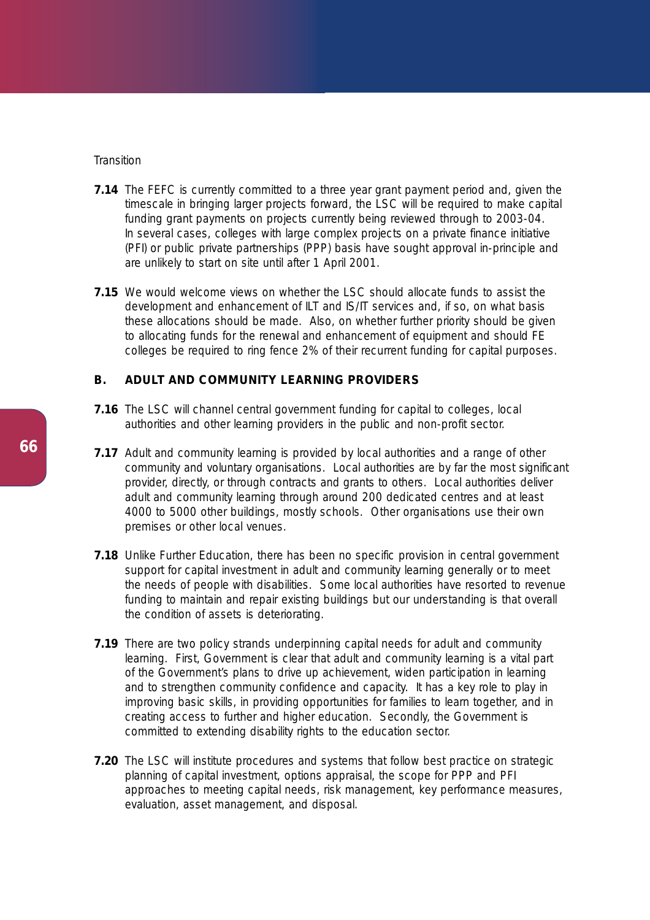## *Transition*

- **7.14** The FEFC is currently committed to a three year grant payment period and, given the timescale in bringing larger projects forward, the LSC will be required to make capital funding grant payments on projects currently being reviewed through to 2003-04. In several cases, colleges with large complex projects on a private finance initiative (PFI) or public private partnerships (PPP) basis have sought approval in-principle and are unlikely to start on site until after 1 April 2001.
- **7.15** We would welcome views on whether the LSC should allocate funds to assist the development and enhancement of ILT and IS/IT services and, if so, on what basis these allocations should be made. Also, on whether further priority should be given to allocating funds for the renewal and enhancement of equipment and should FE colleges be required to ring fence 2% of their recurrent funding for capital purposes.

# **B. ADULT AND COMMUNITY LEARNING PROVIDERS**

- **7.16** The LSC will channel central government funding for capital to colleges, local authorities and other learning providers in the public and non-profit sector.
- **7.17** Adult and community learning is provided by local authorities and a range of other community and voluntary organisations. Local authorities are by far the most significant provider, directly, or through contracts and grants to others. Local authorities deliver adult and community learning through around 200 dedicated centres and at least 4000 to 5000 other buildings, mostly schools. Other organisations use their own premises or other local venues.
- **7.18** Unlike Further Education, there has been no specific provision in central government support for capital investment in adult and community learning generally or to meet the needs of people with disabilities. Some local authorities have resorted to revenue funding to maintain and repair existing buildings but our understanding is that overall the condition of assets is deteriorating.
- **7.19** There are two policy strands underpinning capital needs for adult and community learning. First, Government is clear that adult and community learning is a vital part of the Government's plans to drive up achievement, widen participation in learning and to strengthen community confidence and capacity. It has a key role to play in improving basic skills, in providing opportunities for families to learn together, and in creating access to further and higher education. Secondly, the Government is committed to extending disability rights to the education sector.
- **7.20** The LSC will institute procedures and systems that follow best practice on strategic planning of capital investment, options appraisal, the scope for PPP and PFI approaches to meeting capital needs, risk management, key performance measures, evaluation, asset management, and disposal.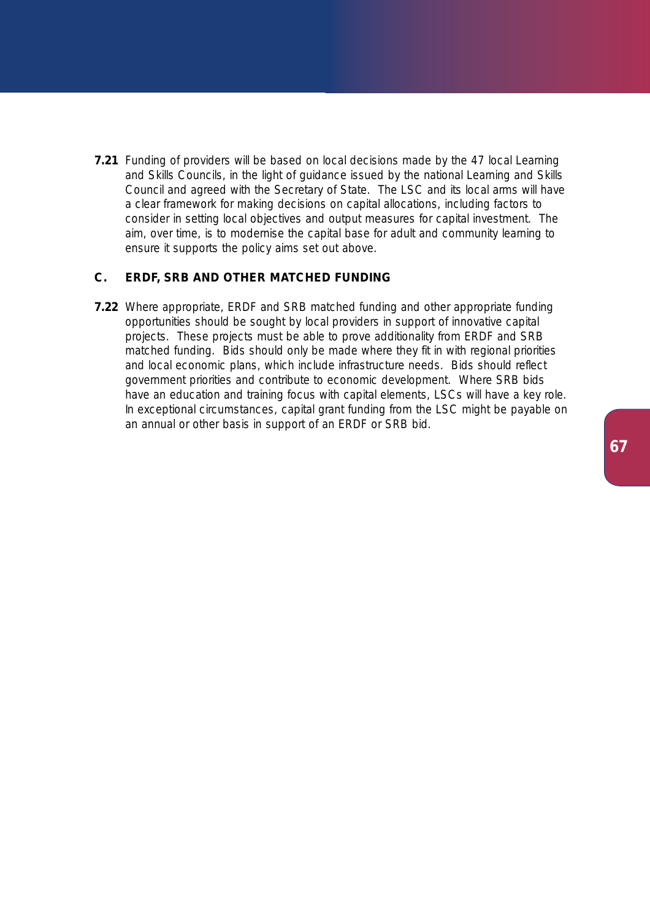**7.21** Funding of providers will be based on local decisions made by the 47 local Learning and Skills Councils, in the light of guidance issued by the national Learning and Skills Council and agreed with the Secretary of State. The LSC and its local arms will have a clear framework for making decisions on capital allocations, including factors to consider in setting local objectives and output measures for capital investment. The aim, over time, is to modernise the capital base for adult and community learning to ensure it supports the policy aims set out above.

## **C. ERDF, SRB AND OTHER MATCHED FUNDING**

**7.22** Where appropriate, ERDF and SRB matched funding and other appropriate funding opportunities should be sought by local providers in support of innovative capital projects. These projects must be able to prove additionality from ERDF and SRB matched funding. Bids should only be made where they fit in with regional priorities and local economic plans, which include infrastructure needs. Bids should reflect government priorities and contribute to economic development. Where SRB bids have an education and training focus with capital elements, LSCs will have a key role. In exceptional circumstances, capital grant funding from the LSC might be payable on an annual or other basis in support of an ERDF or SRB bid.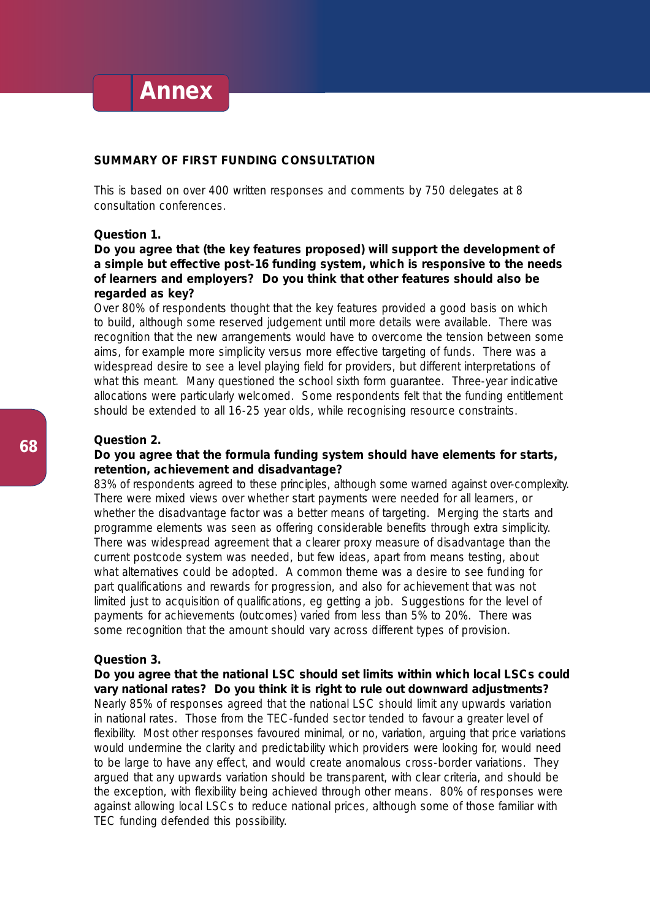# **Annex**

# **SUMMARY OF FIRST FUNDING CONSULTATION**

This is based on over 400 written responses and comments by 750 delegates at 8 consultation conferences.

# **Question 1.**

# **Do you agree that (the key features proposed) will support the development of a simple but effective post-16 funding system, which is responsive to the needs of learners and employers? Do you think that other features should also be regarded as key?**

Over 80% of respondents thought that the key features provided a good basis on which to build, although some reserved judgement until more details were available. There was recognition that the new arrangements would have to overcome the tension between some aims, for example more simplicity versus more effective targeting of funds. There was a widespread desire to see a level playing field for providers, but different interpretations of what this meant. Many questioned the school sixth form guarantee. Three-year indicative allocations were particularly welcomed. Some respondents felt that the funding entitlement should be extended to all 16-25 year olds, while recognising resource constraints.

#### **Question 2.**

# **Do you agree that the formula funding system should have elements for starts, retention, achievement and disadvantage?**

83% of respondents agreed to these principles, although some warned against over-complexity. There were mixed views over whether start payments were needed for all learners, or whether the disadvantage factor was a better means of targeting. Merging the starts and programme elements was seen as offering considerable benefits through extra simplicity. There was widespread agreement that a clearer proxy measure of disadvantage than the current postcode system was needed, but few ideas, apart from means testing, about what alternatives could be adopted. A common theme was a desire to see funding for part qualifications and rewards for progression, and also for achievement that was not limited just to acquisition of qualifications, eg getting a job. Suggestions for the level of payments for achievements (outcomes) varied from less than 5% to 20%. There was some recognition that the amount should vary across different types of provision.

#### **Question 3.**

**Do you agree that the national LSC should set limits within which local LSCs could vary national rates? Do you think it is right to rule out downward adjustments?** Nearly 85% of responses agreed that the national LSC should limit any upwards variation in national rates. Those from the TEC-funded sector tended to favour a greater level of flexibility. Most other responses favoured minimal, or no, variation, arguing that price variations would undermine the clarity and predictability which providers were looking for, would need to be large to have any effect, and would create anomalous cross-border variations. They argued that any upwards variation should be transparent, with clear criteria, and should be the exception, with flexibility being achieved through other means. 80% of responses were against allowing local LSCs to reduce national prices, although some of those familiar with TEC funding defended this possibility.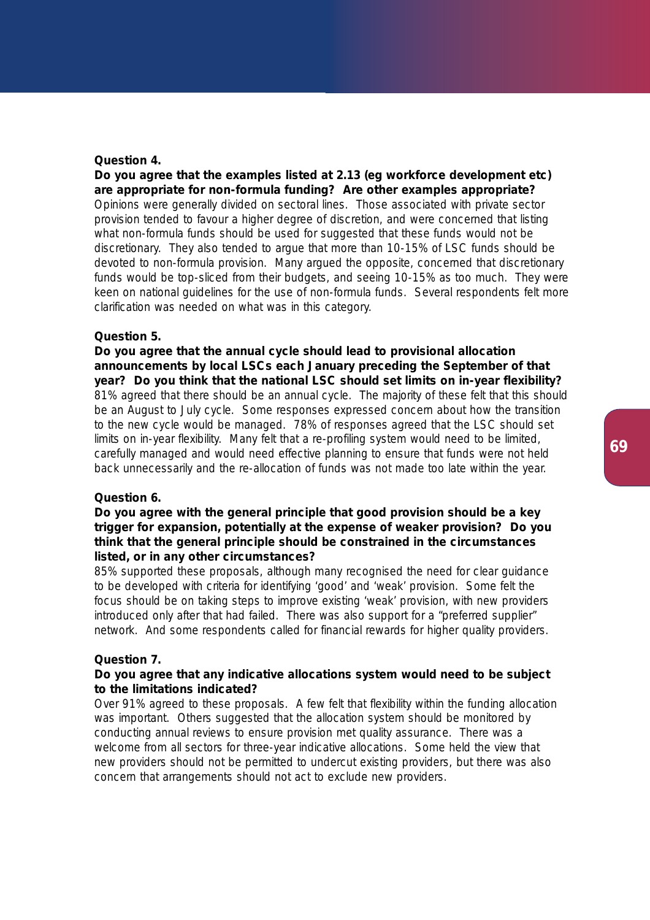## **Question 4.**

**Do you agree that the examples listed at 2.13 (eg workforce development etc) are appropriate for non-formula funding? Are other examples appropriate?** Opinions were generally divided on sectoral lines. Those associated with private sector provision tended to favour a higher degree of discretion, and were concerned that listing what non-formula funds should be used for suggested that these funds would not be discretionary. They also tended to argue that more than 10-15% of LSC funds should be devoted to non-formula provision. Many argued the opposite, concerned that discretionary funds would be top-sliced from their budgets, and seeing 10-15% as too much. They were keen on national guidelines for the use of non-formula funds. Several respondents felt more clarification was needed on what was in this category.

## **Question 5.**

**Do you agree that the annual cycle should lead to provisional allocation announcements by local LSCs each January preceding the September of that year? Do you think that the national LSC should set limits on in-year flexibility?** 81% agreed that there should be an annual cycle. The majority of these felt that this should be an August to July cycle. Some responses expressed concern about how the transition to the new cycle would be managed. 78% of responses agreed that the LSC should set limits on in-year flexibility. Many felt that a re-profiling system would need to be limited, carefully managed and would need effective planning to ensure that funds were not held back unnecessarily and the re-allocation of funds was not made too late within the year.

# **Question 6.**

# **Do you agree with the general principle that good provision should be a key trigger for expansion, potentially at the expense of weaker provision? Do you think that the general principle should be constrained in the circumstances listed, or in any other circumstances?**

85% supported these proposals, although many recognised the need for clear guidance to be developed with criteria for identifying 'good' and 'weak' provision. Some felt the focus should be on taking steps to improve existing 'weak' provision, with new providers introduced only after that had failed. There was also support for a "preferred supplier" network. And some respondents called for financial rewards for higher quality providers.

#### **Question 7.**

## **Do you agree that any indicative allocations system would need to be subject to the limitations indicated?**

Over 91% agreed to these proposals. A few felt that flexibility within the funding allocation was important. Others suggested that the allocation system should be monitored by conducting annual reviews to ensure provision met quality assurance. There was a welcome from all sectors for three-year indicative allocations. Some held the view that new providers should not be permitted to undercut existing providers, but there was also concern that arrangements should not act to exclude new providers.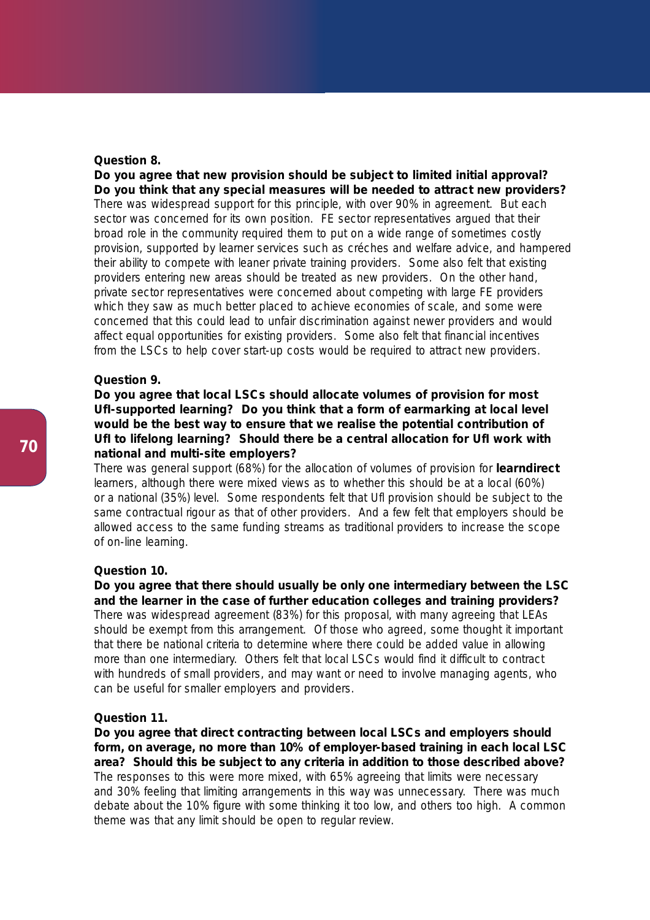## **Question 8.**

**Do you agree that new provision should be subject to limited initial approval? Do you think that any special measures will be needed to attract new providers?** There was widespread support for this principle, with over 90% in agreement. But each sector was concerned for its own position. FE sector representatives argued that their broad role in the community required them to put on a wide range of sometimes costly provision, supported by learner services such as créches and welfare advice, and hampered their ability to compete with leaner private training providers. Some also felt that existing providers entering new areas should be treated as new providers. On the other hand, private sector representatives were concerned about competing with large FE providers which they saw as much better placed to achieve economies of scale, and some were concerned that this could lead to unfair discrimination against newer providers and would affect equal opportunities for existing providers. Some also felt that financial incentives from the LSCs to help cover start-up costs would be required to attract new providers.

# **Question 9.**

**Do you agree that local LSCs should allocate volumes of provision for most UfI-supported learning? Do you think that a form of earmarking at local level would be the best way to ensure that we realise the potential contribution of UfI to lifelong learning? Should there be a central allocation for UfI work with national and multi-site employers?**

There was general support (68%) for the allocation of volumes of provision for **learndirect** learners, although there were mixed views as to whether this should be at a local (60%) or a national (35%) level. Some respondents felt that Ufl provision should be subject to the same contractual rigour as that of other providers. And a few felt that employers should be allowed access to the same funding streams as traditional providers to increase the scope of on-line learning.

#### **Question 10.**

**Do you agree that there should usually be only one intermediary between the LSC and the learner in the case of further education colleges and training providers?** There was widespread agreement (83%) for this proposal, with many agreeing that LEAs

should be exempt from this arrangement. Of those who agreed, some thought it important that there be national criteria to determine where there could be added value in allowing more than one intermediary. Others felt that local LSCs would find it difficult to contract with hundreds of small providers, and may want or need to involve managing agents, who can be useful for smaller employers and providers.

#### **Question 11.**

**Do you agree that direct contracting between local LSCs and employers should form, on average, no more than 10% of employer-based training in each local LSC area? Should this be subject to any criteria in addition to those described above?** The responses to this were more mixed, with 65% agreeing that limits were necessary and 30% feeling that limiting arrangements in this way was unnecessary. There was much debate about the 10% figure with some thinking it too low, and others too high. A common theme was that any limit should be open to regular review.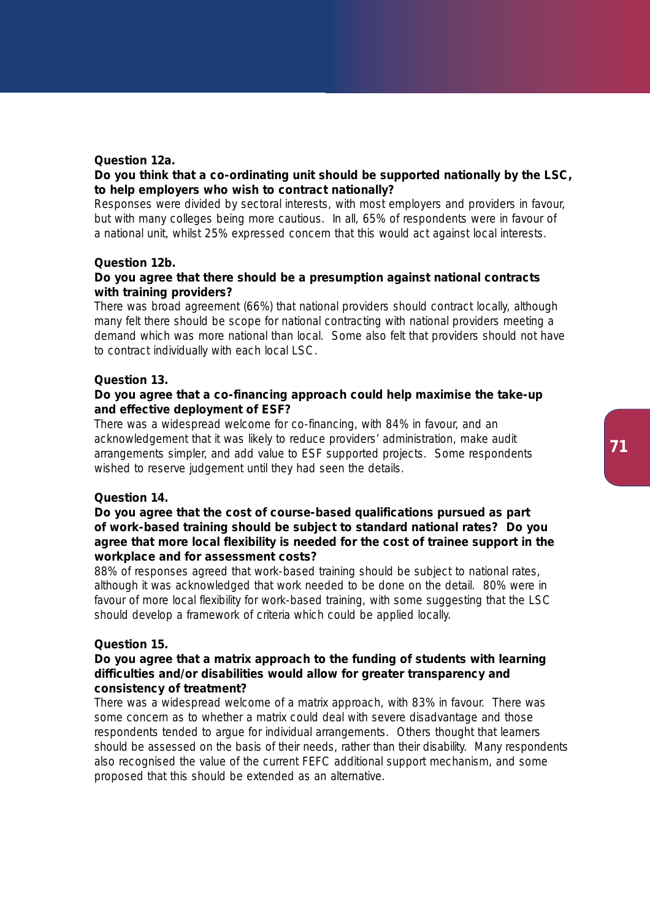## **Question 12a.**

# **Do you think that a co-ordinating unit should be supported nationally by the LSC, to help employers who wish to contract nationally?**

Responses were divided by sectoral interests, with most employers and providers in favour, but with many colleges being more cautious. In all, 65% of respondents were in favour of a national unit, whilst 25% expressed concern that this would act against local interests.

## **Question 12b.**

# **Do you agree that there should be a presumption against national contracts with training providers?**

There was broad agreement (66%) that national providers should contract locally, although many felt there should be scope for national contracting with national providers meeting a demand which was more national than local. Some also felt that providers should not have to contract individually with each local LSC.

# **Question 13.**

# **Do you agree that a co-financing approach could help maximise the take-up and effective deployment of ESF?**

There was a widespread welcome for co-financing, with 84% in favour, and an acknowledgement that it was likely to reduce providers' administration, make audit arrangements simpler, and add value to ESF supported projects. Some respondents wished to reserve judgement until they had seen the details.

## **Question 14.**

# **Do you agree that the cost of course-based qualifications pursued as part of work-based training should be subject to standard national rates? Do you agree that more local flexibility is needed for the cost of trainee support in the workplace and for assessment costs?**

88% of responses agreed that work-based training should be subject to national rates, although it was acknowledged that work needed to be done on the detail. 80% were in favour of more local flexibility for work-based training, with some suggesting that the LSC should develop a framework of criteria which could be applied locally.

## **Question 15.**

# **Do you agree that a matrix approach to the funding of students with learning difficulties and/or disabilities would allow for greater transparency and consistency of treatment?**

There was a widespread welcome of a matrix approach, with 83% in favour. There was some concern as to whether a matrix could deal with severe disadvantage and those respondents tended to argue for individual arrangements. Others thought that learners should be assessed on the basis of their needs, rather than their disability. Many respondents also recognised the value of the current FEFC additional support mechanism, and some proposed that this should be extended as an alternative.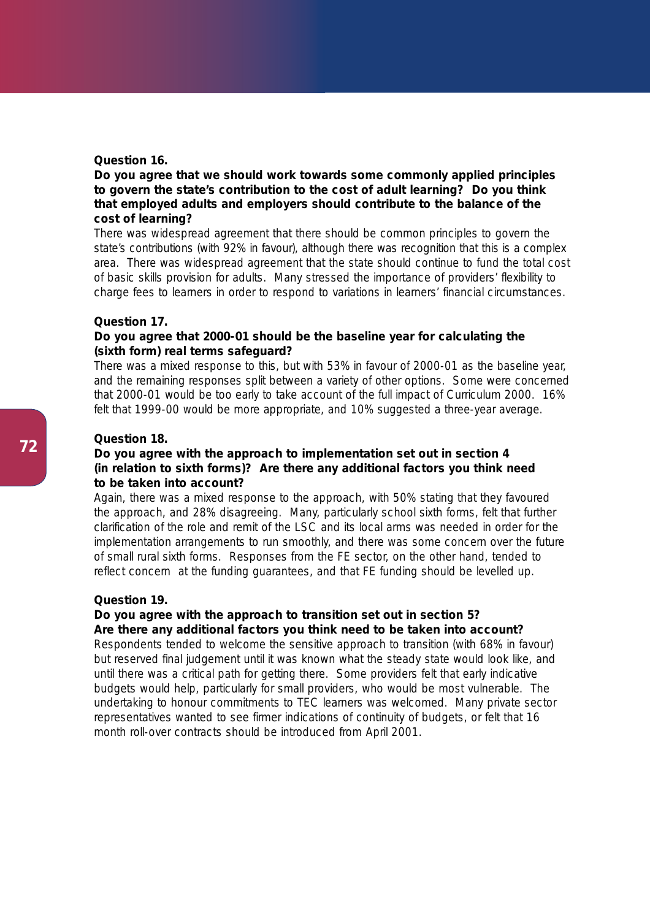## **Question 16.**

# **Do you agree that we should work towards some commonly applied principles to govern the state's contribution to the cost of adult learning? Do you think that employed adults and employers should contribute to the balance of the cost of learning?**

There was widespread agreement that there should be common principles to govern the state's contributions (with 92% in favour), although there was recognition that this is a complex area. There was widespread agreement that the state should continue to fund the total cost of basic skills provision for adults. Many stressed the importance of providers' flexibility to charge fees to learners in order to respond to variations in learners' financial circumstances.

#### **Question 17.**

# **Do you agree that 2000-01 should be the baseline year for calculating the (sixth form) real terms safeguard?**

There was a mixed response to this, but with 53% in favour of 2000-01 as the baseline year, and the remaining responses split between a variety of other options. Some were concerned that 2000-01 would be too early to take account of the full impact of Curriculum 2000. 16% felt that 1999-00 would be more appropriate, and 10% suggested a three-year average.

#### **Question 18.**

# **Do you agree with the approach to implementation set out in section 4 (in relation to sixth forms)? Are there any additional factors you think need to be taken into account?**

Again, there was a mixed response to the approach, with 50% stating that they favoured the approach, and 28% disagreeing. Many, particularly school sixth forms, felt that further clarification of the role and remit of the LSC and its local arms was needed in order for the implementation arrangements to run smoothly, and there was some concern over the future of small rural sixth forms. Responses from the FE sector, on the other hand, tended to reflect concern at the funding guarantees, and that FE funding should be levelled up.

## **Question 19.**

## **Do you agree with the approach to transition set out in section 5? Are there any additional factors you think need to be taken into account?**

Respondents tended to welcome the sensitive approach to transition (with 68% in favour) but reserved final judgement until it was known what the steady state would look like, and until there was a critical path for getting there. Some providers felt that early indicative budgets would help, particularly for small providers, who would be most vulnerable. The undertaking to honour commitments to TEC learners was welcomed. Many private sector representatives wanted to see firmer indications of continuity of budgets, or felt that 16 month roll-over contracts should be introduced from April 2001.